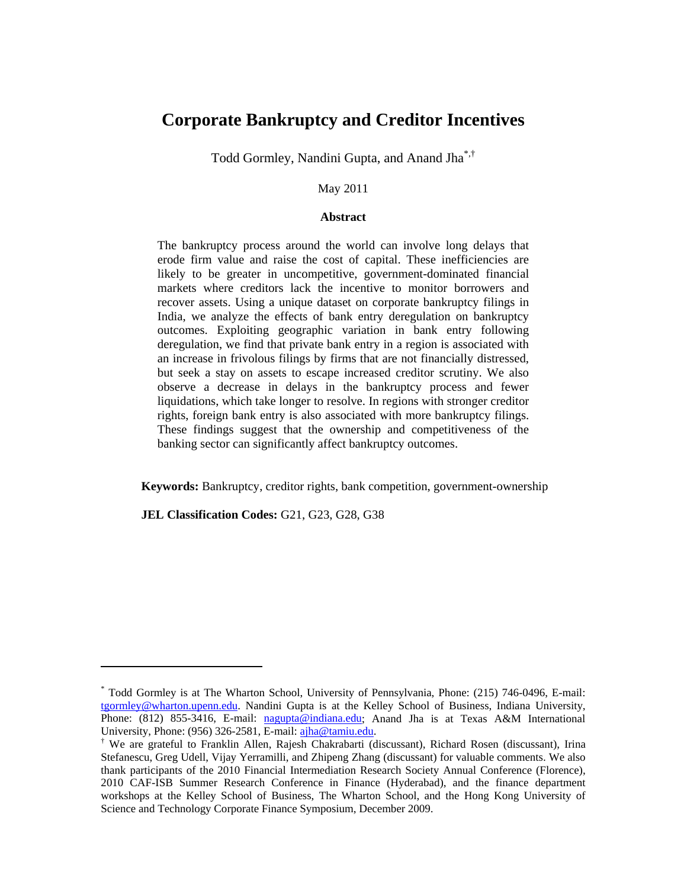# **Corporate Bankruptcy and Creditor Incentives**

Todd Gormley, Nandini Gupta, and Anand Jha\*,†

### May 2011

### **Abstract**

The bankruptcy process around the world can involve long delays that erode firm value and raise the cost of capital. These inefficiencies are likely to be greater in uncompetitive, government-dominated financial markets where creditors lack the incentive to monitor borrowers and recover assets. Using a unique dataset on corporate bankruptcy filings in India, we analyze the effects of bank entry deregulation on bankruptcy outcomes. Exploiting geographic variation in bank entry following deregulation, we find that private bank entry in a region is associated with an increase in frivolous filings by firms that are not financially distressed, but seek a stay on assets to escape increased creditor scrutiny. We also observe a decrease in delays in the bankruptcy process and fewer liquidations, which take longer to resolve. In regions with stronger creditor rights, foreign bank entry is also associated with more bankruptcy filings. These findings suggest that the ownership and competitiveness of the banking sector can significantly affect bankruptcy outcomes.

**Keywords:** Bankruptcy, creditor rights, bank competition, government-ownership

**JEL Classification Codes:** G21, G23, G28, G38

<sup>\*</sup> Todd Gormley is at The Wharton School, University of Pennsylvania, Phone: (215) 746-0496, E-mail: tgormley@wharton.upenn.edu. Nandini Gupta is at the Kelley School of Business, Indiana University, Phone: (812) 855-3416, E-mail: nagupta@indiana.edu; Anand Jha is at Texas A&M International University, Phone: (956) 326-2581, E-mail: ajha@tamiu.edu.

We are grateful to Franklin Allen, Rajesh Chakrabarti (discussant), Richard Rosen (discussant), Irina Stefanescu, Greg Udell, Vijay Yerramilli, and Zhipeng Zhang (discussant) for valuable comments. We also thank participants of the 2010 Financial Intermediation Research Society Annual Conference (Florence), 2010 CAF-ISB Summer Research Conference in Finance (Hyderabad), and the finance department workshops at the Kelley School of Business, The Wharton School, and the Hong Kong University of Science and Technology Corporate Finance Symposium, December 2009.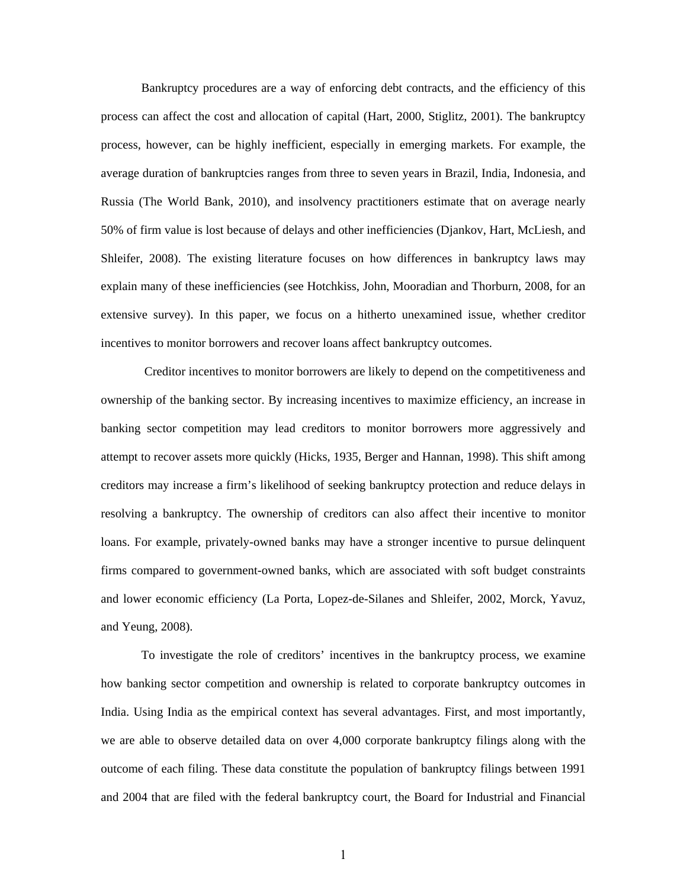Bankruptcy procedures are a way of enforcing debt contracts, and the efficiency of this process can affect the cost and allocation of capital (Hart, 2000, Stiglitz, 2001). The bankruptcy process, however, can be highly inefficient, especially in emerging markets. For example, the average duration of bankruptcies ranges from three to seven years in Brazil, India, Indonesia, and Russia (The World Bank, 2010), and insolvency practitioners estimate that on average nearly 50% of firm value is lost because of delays and other inefficiencies (Djankov, Hart, McLiesh, and Shleifer, 2008). The existing literature focuses on how differences in bankruptcy laws may explain many of these inefficiencies (see Hotchkiss, John, Mooradian and Thorburn, 2008, for an extensive survey). In this paper, we focus on a hitherto unexamined issue, whether creditor incentives to monitor borrowers and recover loans affect bankruptcy outcomes.

 Creditor incentives to monitor borrowers are likely to depend on the competitiveness and ownership of the banking sector. By increasing incentives to maximize efficiency, an increase in banking sector competition may lead creditors to monitor borrowers more aggressively and attempt to recover assets more quickly (Hicks, 1935, Berger and Hannan, 1998). This shift among creditors may increase a firm's likelihood of seeking bankruptcy protection and reduce delays in resolving a bankruptcy. The ownership of creditors can also affect their incentive to monitor loans. For example, privately-owned banks may have a stronger incentive to pursue delinquent firms compared to government-owned banks, which are associated with soft budget constraints and lower economic efficiency (La Porta, Lopez-de-Silanes and Shleifer, 2002, Morck, Yavuz, and Yeung, 2008).

To investigate the role of creditors' incentives in the bankruptcy process, we examine how banking sector competition and ownership is related to corporate bankruptcy outcomes in India. Using India as the empirical context has several advantages. First, and most importantly, we are able to observe detailed data on over 4,000 corporate bankruptcy filings along with the outcome of each filing. These data constitute the population of bankruptcy filings between 1991 and 2004 that are filed with the federal bankruptcy court, the Board for Industrial and Financial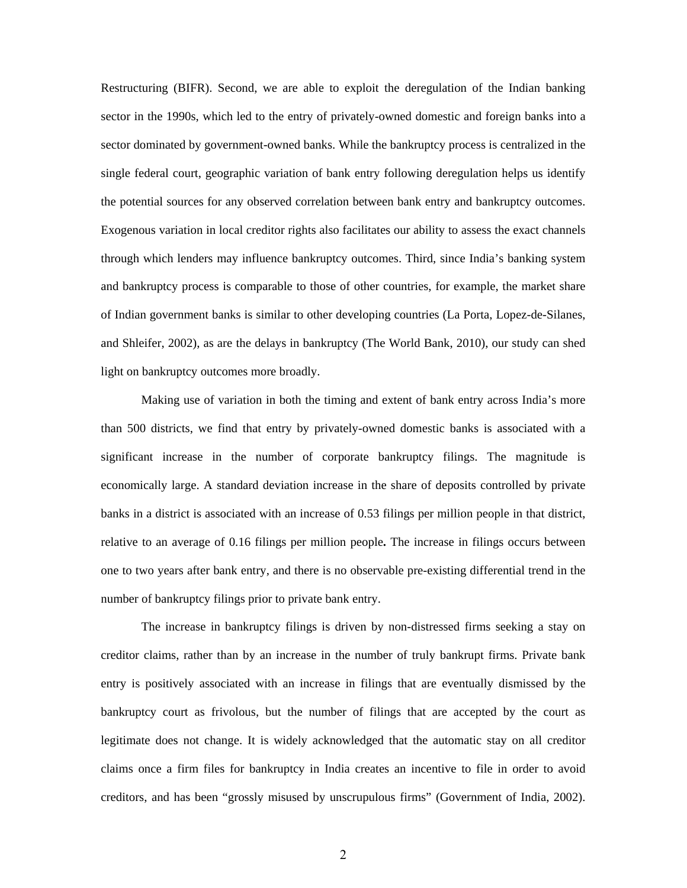Restructuring (BIFR). Second, we are able to exploit the deregulation of the Indian banking sector in the 1990s, which led to the entry of privately-owned domestic and foreign banks into a sector dominated by government-owned banks. While the bankruptcy process is centralized in the single federal court, geographic variation of bank entry following deregulation helps us identify the potential sources for any observed correlation between bank entry and bankruptcy outcomes. Exogenous variation in local creditor rights also facilitates our ability to assess the exact channels through which lenders may influence bankruptcy outcomes. Third, since India's banking system and bankruptcy process is comparable to those of other countries, for example, the market share of Indian government banks is similar to other developing countries (La Porta, Lopez-de-Silanes, and Shleifer, 2002), as are the delays in bankruptcy (The World Bank, 2010), our study can shed light on bankruptcy outcomes more broadly.

Making use of variation in both the timing and extent of bank entry across India's more than 500 districts, we find that entry by privately-owned domestic banks is associated with a significant increase in the number of corporate bankruptcy filings. The magnitude is economically large. A standard deviation increase in the share of deposits controlled by private banks in a district is associated with an increase of 0.53 filings per million people in that district, relative to an average of 0.16 filings per million people**.** The increase in filings occurs between one to two years after bank entry, and there is no observable pre-existing differential trend in the number of bankruptcy filings prior to private bank entry.

The increase in bankruptcy filings is driven by non-distressed firms seeking a stay on creditor claims, rather than by an increase in the number of truly bankrupt firms. Private bank entry is positively associated with an increase in filings that are eventually dismissed by the bankruptcy court as frivolous, but the number of filings that are accepted by the court as legitimate does not change. It is widely acknowledged that the automatic stay on all creditor claims once a firm files for bankruptcy in India creates an incentive to file in order to avoid creditors, and has been "grossly misused by unscrupulous firms" (Government of India, 2002).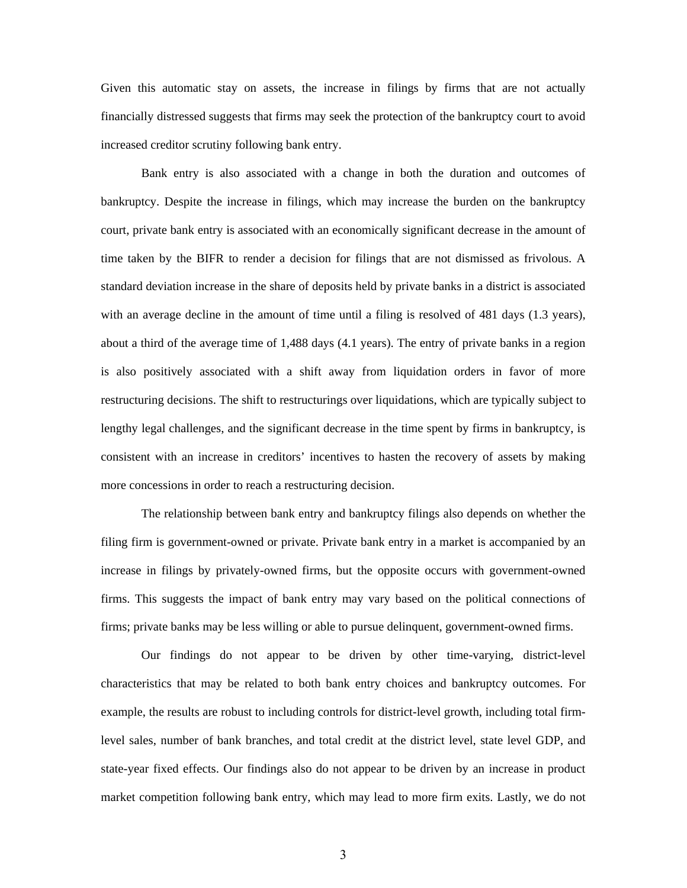Given this automatic stay on assets, the increase in filings by firms that are not actually financially distressed suggests that firms may seek the protection of the bankruptcy court to avoid increased creditor scrutiny following bank entry.

Bank entry is also associated with a change in both the duration and outcomes of bankruptcy. Despite the increase in filings, which may increase the burden on the bankruptcy court, private bank entry is associated with an economically significant decrease in the amount of time taken by the BIFR to render a decision for filings that are not dismissed as frivolous. A standard deviation increase in the share of deposits held by private banks in a district is associated with an average decline in the amount of time until a filing is resolved of 481 days (1.3 years), about a third of the average time of 1,488 days (4.1 years). The entry of private banks in a region is also positively associated with a shift away from liquidation orders in favor of more restructuring decisions. The shift to restructurings over liquidations, which are typically subject to lengthy legal challenges, and the significant decrease in the time spent by firms in bankruptcy, is consistent with an increase in creditors' incentives to hasten the recovery of assets by making more concessions in order to reach a restructuring decision.

The relationship between bank entry and bankruptcy filings also depends on whether the filing firm is government-owned or private. Private bank entry in a market is accompanied by an increase in filings by privately-owned firms, but the opposite occurs with government-owned firms. This suggests the impact of bank entry may vary based on the political connections of firms; private banks may be less willing or able to pursue delinquent, government-owned firms.

Our findings do not appear to be driven by other time-varying, district-level characteristics that may be related to both bank entry choices and bankruptcy outcomes. For example, the results are robust to including controls for district-level growth, including total firmlevel sales, number of bank branches, and total credit at the district level, state level GDP, and state-year fixed effects. Our findings also do not appear to be driven by an increase in product market competition following bank entry, which may lead to more firm exits. Lastly, we do not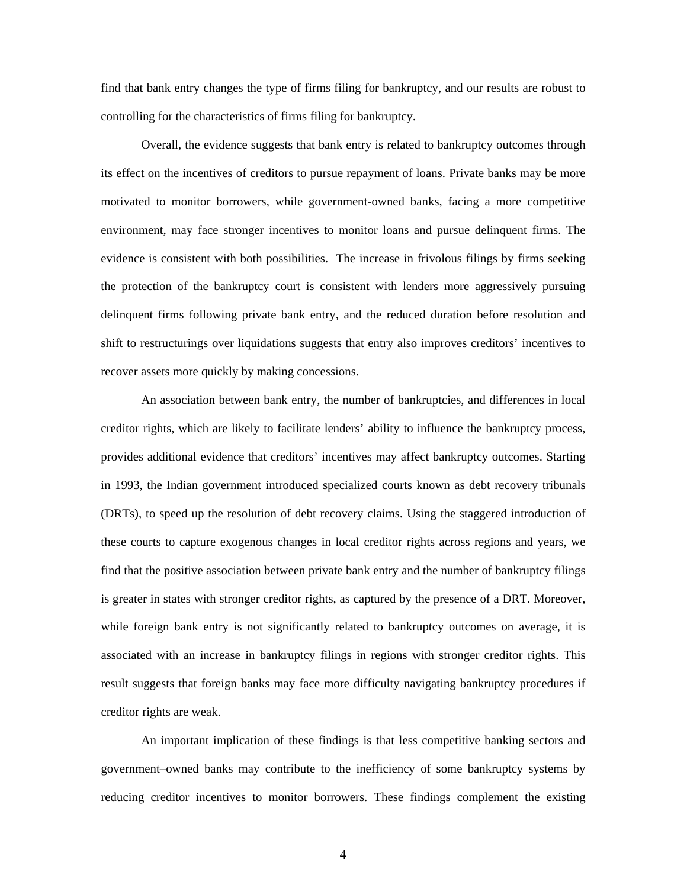find that bank entry changes the type of firms filing for bankruptcy, and our results are robust to controlling for the characteristics of firms filing for bankruptcy.

Overall, the evidence suggests that bank entry is related to bankruptcy outcomes through its effect on the incentives of creditors to pursue repayment of loans. Private banks may be more motivated to monitor borrowers, while government-owned banks, facing a more competitive environment, may face stronger incentives to monitor loans and pursue delinquent firms. The evidence is consistent with both possibilities. The increase in frivolous filings by firms seeking the protection of the bankruptcy court is consistent with lenders more aggressively pursuing delinquent firms following private bank entry, and the reduced duration before resolution and shift to restructurings over liquidations suggests that entry also improves creditors' incentives to recover assets more quickly by making concessions.

An association between bank entry, the number of bankruptcies, and differences in local creditor rights, which are likely to facilitate lenders' ability to influence the bankruptcy process, provides additional evidence that creditors' incentives may affect bankruptcy outcomes. Starting in 1993, the Indian government introduced specialized courts known as debt recovery tribunals (DRTs), to speed up the resolution of debt recovery claims. Using the staggered introduction of these courts to capture exogenous changes in local creditor rights across regions and years, we find that the positive association between private bank entry and the number of bankruptcy filings is greater in states with stronger creditor rights, as captured by the presence of a DRT. Moreover, while foreign bank entry is not significantly related to bankruptcy outcomes on average, it is associated with an increase in bankruptcy filings in regions with stronger creditor rights. This result suggests that foreign banks may face more difficulty navigating bankruptcy procedures if creditor rights are weak.

An important implication of these findings is that less competitive banking sectors and government–owned banks may contribute to the inefficiency of some bankruptcy systems by reducing creditor incentives to monitor borrowers. These findings complement the existing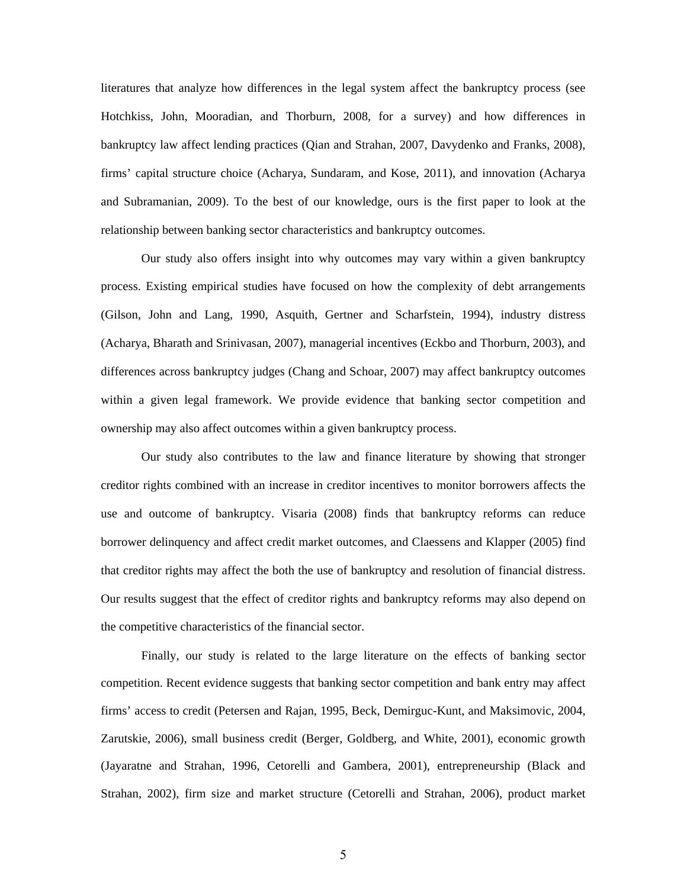literatures that analyze how differences in the legal system affect the bankruptcy process (see Hotchkiss, John, Mooradian, and Thorburn, 2008, for a survey) and how differences in bankruptcy law affect lending practices (Qian and Strahan, 2007, Davydenko and Franks, 2008), firms' capital structure choice (Acharya, Sundaram, and Kose, 2011), and innovation (Acharya and Subramanian, 2009). To the best of our knowledge, ours is the first paper to look at the relationship between banking sector characteristics and bankruptcy outcomes.

 Our study also offers insight into why outcomes may vary within a given bankruptcy process. Existing empirical studies have focused on how the complexity of debt arrangements (Gilson, John and Lang, 1990, Asquith, Gertner and Scharfstein, 1994), industry distress (Acharya, Bharath and Srinivasan, 2007), managerial incentives (Eckbo and Thorburn, 2003), and differences across bankruptcy judges (Chang and Schoar, 2007) may affect bankruptcy outcomes within a given legal framework. We provide evidence that banking sector competition and ownership may also affect outcomes within a given bankruptcy process.

Our study also contributes to the law and finance literature by showing that stronger creditor rights combined with an increase in creditor incentives to monitor borrowers affects the use and outcome of bankruptcy. Visaria (2008) finds that bankruptcy reforms can reduce borrower delinquency and affect credit market outcomes, and Claessens and Klapper (2005) find that creditor rights may affect the both the use of bankruptcy and resolution of financial distress. Our results suggest that the effect of creditor rights and bankruptcy reforms may also depend on the competitive characteristics of the financial sector.

Finally, our study is related to the large literature on the effects of banking sector competition. Recent evidence suggests that banking sector competition and bank entry may affect firms' access to credit (Petersen and Rajan, 1995, Beck, Demirguc-Kunt, and Maksimovic, 2004, Zarutskie, 2006), small business credit (Berger, Goldberg, and White, 2001), economic growth (Jayaratne and Strahan, 1996, Cetorelli and Gambera, 2001), entrepreneurship (Black and Strahan, 2002), firm size and market structure (Cetorelli and Strahan, 2006), product market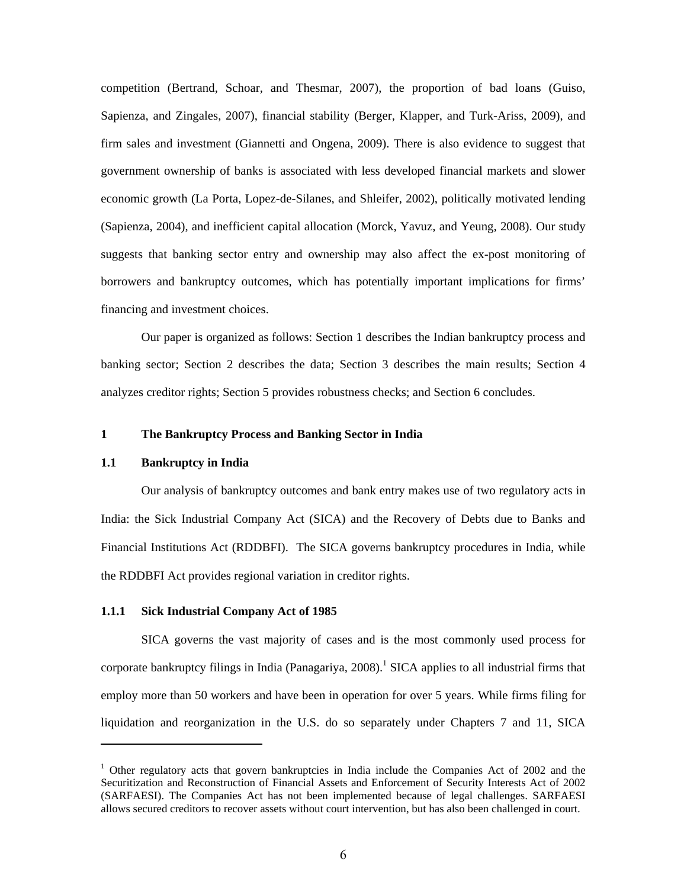competition (Bertrand, Schoar, and Thesmar, 2007), the proportion of bad loans (Guiso, Sapienza, and Zingales, 2007), financial stability (Berger, Klapper, and Turk-Ariss, 2009), and firm sales and investment (Giannetti and Ongena, 2009). There is also evidence to suggest that government ownership of banks is associated with less developed financial markets and slower economic growth (La Porta, Lopez-de-Silanes, and Shleifer, 2002), politically motivated lending (Sapienza, 2004), and inefficient capital allocation (Morck, Yavuz, and Yeung, 2008). Our study suggests that banking sector entry and ownership may also affect the ex-post monitoring of borrowers and bankruptcy outcomes, which has potentially important implications for firms' financing and investment choices.

 Our paper is organized as follows: Section 1 describes the Indian bankruptcy process and banking sector; Section 2 describes the data; Section 3 describes the main results; Section 4 analyzes creditor rights; Section 5 provides robustness checks; and Section 6 concludes.

### **1 The Bankruptcy Process and Banking Sector in India**

### **1.1 Bankruptcy in India**

Our analysis of bankruptcy outcomes and bank entry makes use of two regulatory acts in India: the Sick Industrial Company Act (SICA) and the Recovery of Debts due to Banks and Financial Institutions Act (RDDBFI). The SICA governs bankruptcy procedures in India, while the RDDBFI Act provides regional variation in creditor rights.

### **1.1.1 Sick Industrial Company Act of 1985**

SICA governs the vast majority of cases and is the most commonly used process for corporate bankruptcy filings in India (Panagariya,  $2008$ ).<sup>1</sup> SICA applies to all industrial firms that employ more than 50 workers and have been in operation for over 5 years. While firms filing for liquidation and reorganization in the U.S. do so separately under Chapters 7 and 11, SICA

<sup>&</sup>lt;sup>1</sup> Other regulatory acts that govern bankruptcies in India include the Companies Act of 2002 and the Securitization and Reconstruction of Financial Assets and Enforcement of Security Interests Act of 2002 (SARFAESI). The Companies Act has not been implemented because of legal challenges. SARFAESI allows secured creditors to recover assets without court intervention, but has also been challenged in court.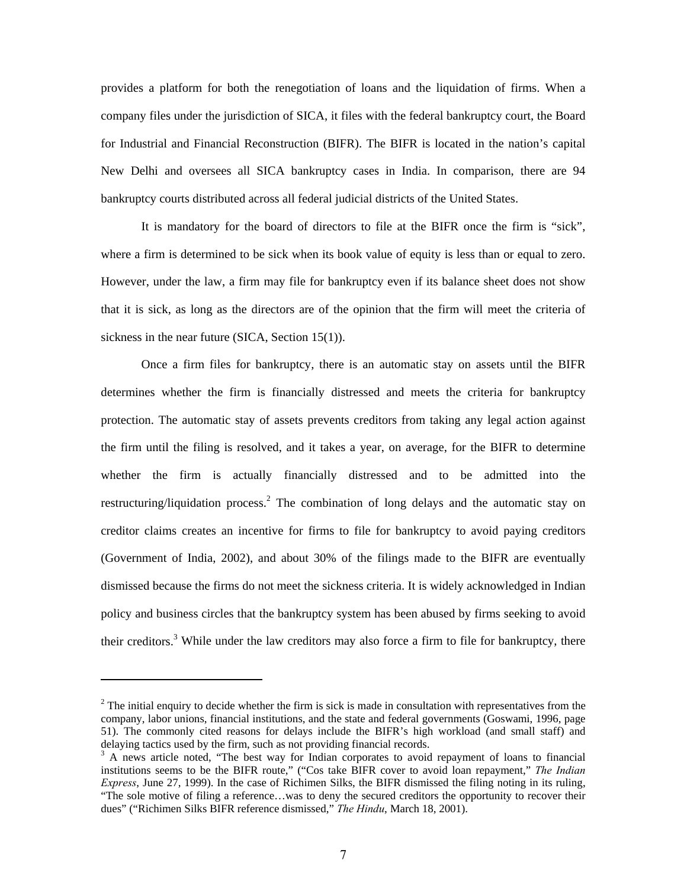provides a platform for both the renegotiation of loans and the liquidation of firms. When a company files under the jurisdiction of SICA, it files with the federal bankruptcy court, the Board for Industrial and Financial Reconstruction (BIFR). The BIFR is located in the nation's capital New Delhi and oversees all SICA bankruptcy cases in India. In comparison, there are 94 bankruptcy courts distributed across all federal judicial districts of the United States.

It is mandatory for the board of directors to file at the BIFR once the firm is "sick", where a firm is determined to be sick when its book value of equity is less than or equal to zero. However, under the law, a firm may file for bankruptcy even if its balance sheet does not show that it is sick, as long as the directors are of the opinion that the firm will meet the criteria of sickness in the near future (SICA, Section 15(1)).

Once a firm files for bankruptcy, there is an automatic stay on assets until the BIFR determines whether the firm is financially distressed and meets the criteria for bankruptcy protection. The automatic stay of assets prevents creditors from taking any legal action against the firm until the filing is resolved, and it takes a year, on average, for the BIFR to determine whether the firm is actually financially distressed and to be admitted into the restructuring/liquidation process.<sup>2</sup> The combination of long delays and the automatic stay on creditor claims creates an incentive for firms to file for bankruptcy to avoid paying creditors (Government of India, 2002), and about 30% of the filings made to the BIFR are eventually dismissed because the firms do not meet the sickness criteria. It is widely acknowledged in Indian policy and business circles that the bankruptcy system has been abused by firms seeking to avoid their creditors.<sup>3</sup> While under the law creditors may also force a firm to file for bankruptcy, there

 $2^2$  The initial enquiry to decide whether the firm is sick is made in consultation with representatives from the company, labor unions, financial institutions, and the state and federal governments (Goswami, 1996, page 51). The commonly cited reasons for delays include the BIFR's high workload (and small staff) and delaying tactics used by the firm, such as not providing financial records.

<sup>&</sup>lt;sup>3</sup> A news article noted, "The best way for Indian corporates to avoid repayment of loans to financial institutions seems to be the BIFR route," ("Cos take BIFR cover to avoid loan repayment," *The Indian Express*, June 27, 1999). In the case of Richimen Silks, the BIFR dismissed the filing noting in its ruling, "The sole motive of filing a reference…was to deny the secured creditors the opportunity to recover their dues" ("Richimen Silks BIFR reference dismissed," *The Hindu*, March 18, 2001).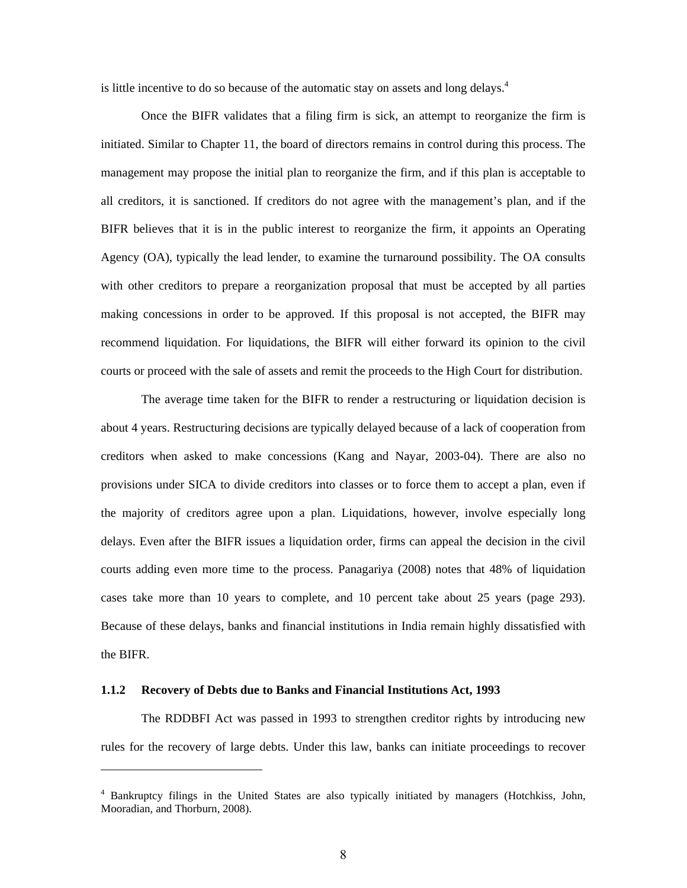is little incentive to do so because of the automatic stay on assets and long delays.<sup>4</sup>

 Once the BIFR validates that a filing firm is sick, an attempt to reorganize the firm is initiated. Similar to Chapter 11, the board of directors remains in control during this process. The management may propose the initial plan to reorganize the firm, and if this plan is acceptable to all creditors, it is sanctioned. If creditors do not agree with the management's plan, and if the BIFR believes that it is in the public interest to reorganize the firm, it appoints an Operating Agency (OA), typically the lead lender, to examine the turnaround possibility. The OA consults with other creditors to prepare a reorganization proposal that must be accepted by all parties making concessions in order to be approved. If this proposal is not accepted, the BIFR may recommend liquidation. For liquidations, the BIFR will either forward its opinion to the civil courts or proceed with the sale of assets and remit the proceeds to the High Court for distribution.

The average time taken for the BIFR to render a restructuring or liquidation decision is about 4 years. Restructuring decisions are typically delayed because of a lack of cooperation from creditors when asked to make concessions (Kang and Nayar, 2003-04). There are also no provisions under SICA to divide creditors into classes or to force them to accept a plan, even if the majority of creditors agree upon a plan. Liquidations, however, involve especially long delays. Even after the BIFR issues a liquidation order, firms can appeal the decision in the civil courts adding even more time to the process. Panagariya (2008) notes that 48% of liquidation cases take more than 10 years to complete, and 10 percent take about 25 years (page 293). Because of these delays, banks and financial institutions in India remain highly dissatisfied with the BIFR.

### **1.1.2 Recovery of Debts due to Banks and Financial Institutions Act, 1993**

The RDDBFI Act was passed in 1993 to strengthen creditor rights by introducing new rules for the recovery of large debts. Under this law, banks can initiate proceedings to recover

<sup>4</sup> Bankruptcy filings in the United States are also typically initiated by managers (Hotchkiss, John, Mooradian, and Thorburn, 2008).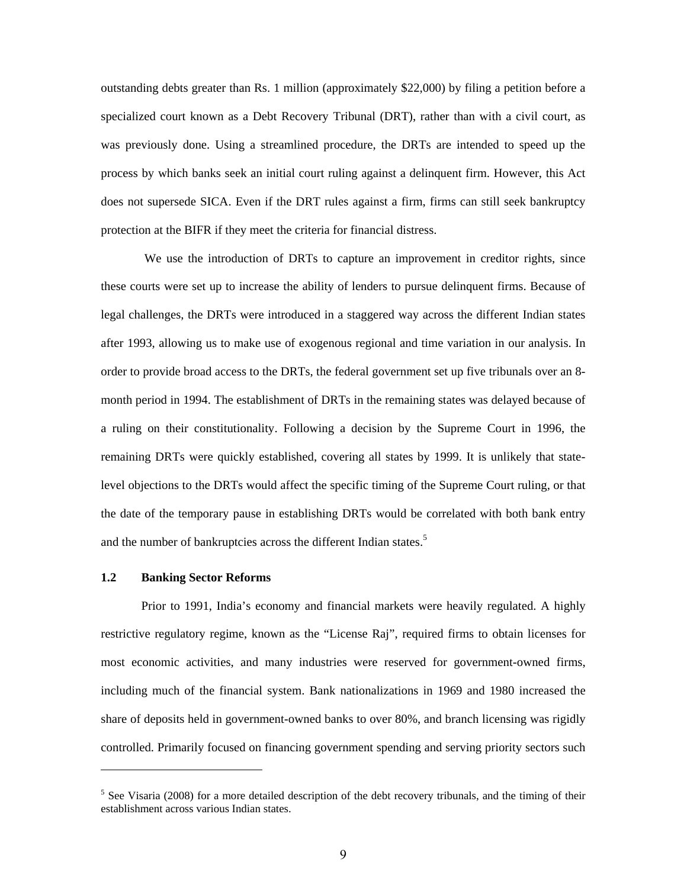outstanding debts greater than Rs. 1 million (approximately \$22,000) by filing a petition before a specialized court known as a Debt Recovery Tribunal (DRT), rather than with a civil court, as was previously done. Using a streamlined procedure, the DRTs are intended to speed up the process by which banks seek an initial court ruling against a delinquent firm. However, this Act does not supersede SICA. Even if the DRT rules against a firm, firms can still seek bankruptcy protection at the BIFR if they meet the criteria for financial distress.

 We use the introduction of DRTs to capture an improvement in creditor rights, since these courts were set up to increase the ability of lenders to pursue delinquent firms. Because of legal challenges, the DRTs were introduced in a staggered way across the different Indian states after 1993, allowing us to make use of exogenous regional and time variation in our analysis. In order to provide broad access to the DRTs, the federal government set up five tribunals over an 8 month period in 1994. The establishment of DRTs in the remaining states was delayed because of a ruling on their constitutionality. Following a decision by the Supreme Court in 1996, the remaining DRTs were quickly established, covering all states by 1999. It is unlikely that statelevel objections to the DRTs would affect the specific timing of the Supreme Court ruling, or that the date of the temporary pause in establishing DRTs would be correlated with both bank entry and the number of bankruptcies across the different Indian states.<sup>5</sup>

### **1.2 Banking Sector Reforms**

Prior to 1991, India's economy and financial markets were heavily regulated. A highly restrictive regulatory regime, known as the "License Raj", required firms to obtain licenses for most economic activities, and many industries were reserved for government-owned firms, including much of the financial system. Bank nationalizations in 1969 and 1980 increased the share of deposits held in government-owned banks to over 80%, and branch licensing was rigidly controlled. Primarily focused on financing government spending and serving priority sectors such

 $<sup>5</sup>$  See Visaria (2008) for a more detailed description of the debt recovery tribunals, and the timing of their</sup> establishment across various Indian states.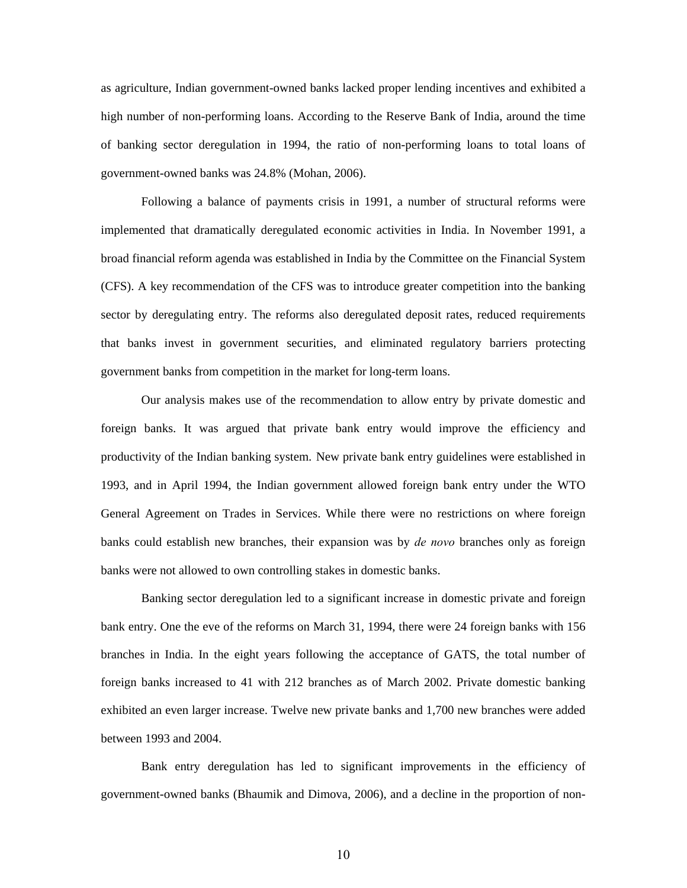as agriculture, Indian government-owned banks lacked proper lending incentives and exhibited a high number of non-performing loans. According to the Reserve Bank of India, around the time of banking sector deregulation in 1994, the ratio of non-performing loans to total loans of government-owned banks was 24.8% (Mohan, 2006).

Following a balance of payments crisis in 1991, a number of structural reforms were implemented that dramatically deregulated economic activities in India. In November 1991, a broad financial reform agenda was established in India by the Committee on the Financial System (CFS). A key recommendation of the CFS was to introduce greater competition into the banking sector by deregulating entry. The reforms also deregulated deposit rates, reduced requirements that banks invest in government securities, and eliminated regulatory barriers protecting government banks from competition in the market for long-term loans.

Our analysis makes use of the recommendation to allow entry by private domestic and foreign banks. It was argued that private bank entry would improve the efficiency and productivity of the Indian banking system. New private bank entry guidelines were established in 1993, and in April 1994, the Indian government allowed foreign bank entry under the WTO General Agreement on Trades in Services. While there were no restrictions on where foreign banks could establish new branches, their expansion was by *de novo* branches only as foreign banks were not allowed to own controlling stakes in domestic banks.

 Banking sector deregulation led to a significant increase in domestic private and foreign bank entry. One the eve of the reforms on March 31, 1994, there were 24 foreign banks with 156 branches in India. In the eight years following the acceptance of GATS, the total number of foreign banks increased to 41 with 212 branches as of March 2002. Private domestic banking exhibited an even larger increase. Twelve new private banks and 1,700 new branches were added between 1993 and 2004.

 Bank entry deregulation has led to significant improvements in the efficiency of government-owned banks (Bhaumik and Dimova, 2006), and a decline in the proportion of non-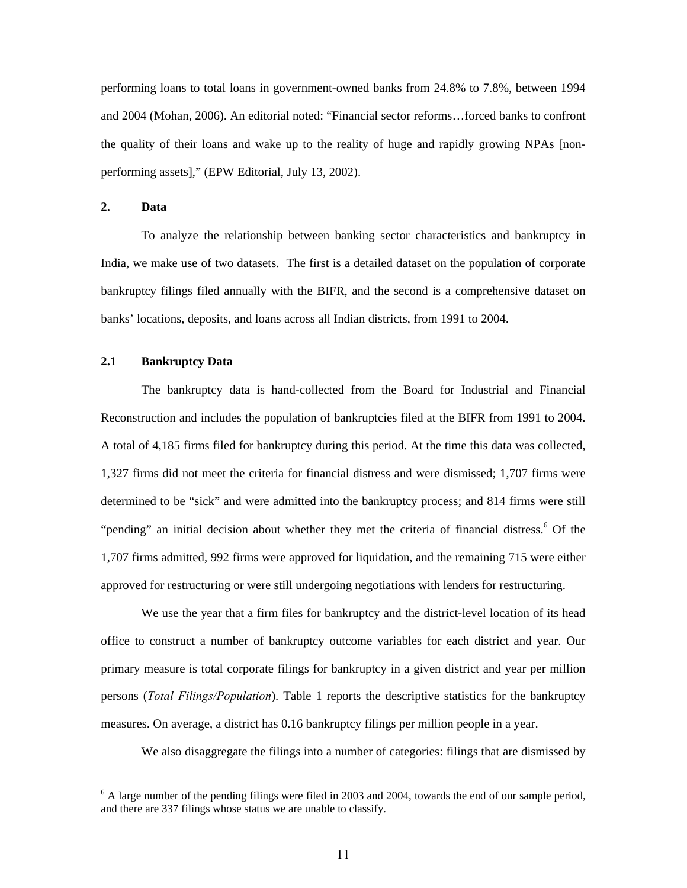performing loans to total loans in government-owned banks from 24.8% to 7.8%, between 1994 and 2004 (Mohan, 2006). An editorial noted: "Financial sector reforms…forced banks to confront the quality of their loans and wake up to the reality of huge and rapidly growing NPAs [nonperforming assets]," (EPW Editorial, July 13, 2002).

### **2. Data**

To analyze the relationship between banking sector characteristics and bankruptcy in India, we make use of two datasets. The first is a detailed dataset on the population of corporate bankruptcy filings filed annually with the BIFR, and the second is a comprehensive dataset on banks' locations, deposits, and loans across all Indian districts, from 1991 to 2004.

#### **2.1 Bankruptcy Data**

The bankruptcy data is hand-collected from the Board for Industrial and Financial Reconstruction and includes the population of bankruptcies filed at the BIFR from 1991 to 2004. A total of 4,185 firms filed for bankruptcy during this period. At the time this data was collected, 1,327 firms did not meet the criteria for financial distress and were dismissed; 1,707 firms were determined to be "sick" and were admitted into the bankruptcy process; and 814 firms were still "pending" an initial decision about whether they met the criteria of financial distress.<sup>6</sup> Of the 1,707 firms admitted, 992 firms were approved for liquidation, and the remaining 715 were either approved for restructuring or were still undergoing negotiations with lenders for restructuring.

We use the year that a firm files for bankruptcy and the district-level location of its head office to construct a number of bankruptcy outcome variables for each district and year. Our primary measure is total corporate filings for bankruptcy in a given district and year per million persons (*Total Filings/Population*). Table 1 reports the descriptive statistics for the bankruptcy measures. On average, a district has 0.16 bankruptcy filings per million people in a year.

We also disaggregate the filings into a number of categories: filings that are dismissed by

 $6$  A large number of the pending filings were filed in 2003 and 2004, towards the end of our sample period, and there are 337 filings whose status we are unable to classify.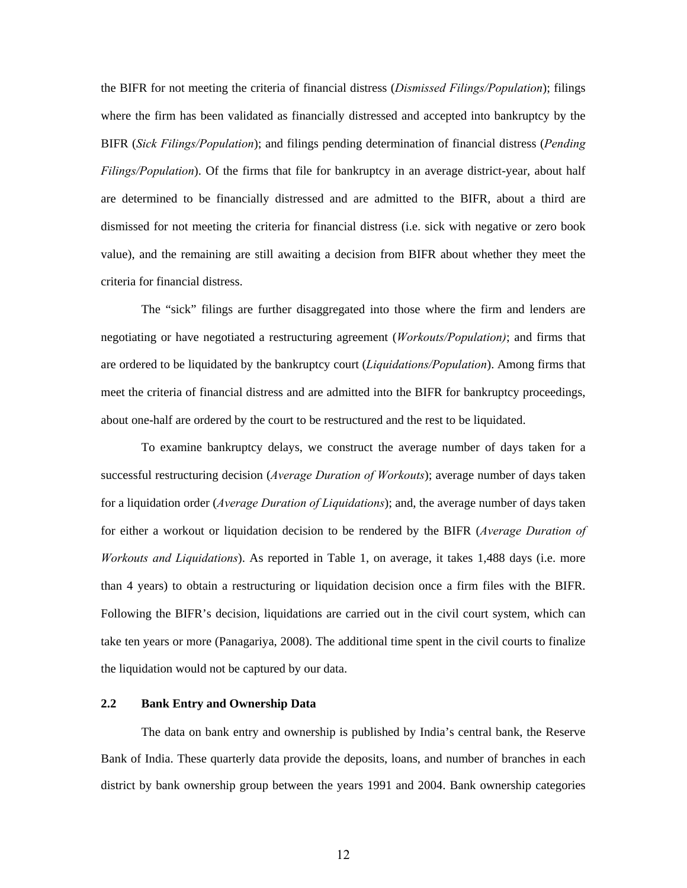the BIFR for not meeting the criteria of financial distress (*Dismissed Filings/Population*); filings where the firm has been validated as financially distressed and accepted into bankruptcy by the BIFR (*Sick Filings/Population*); and filings pending determination of financial distress (*Pending Filings/Population*). Of the firms that file for bankruptcy in an average district-year, about half are determined to be financially distressed and are admitted to the BIFR, about a third are dismissed for not meeting the criteria for financial distress (i.e. sick with negative or zero book value), and the remaining are still awaiting a decision from BIFR about whether they meet the criteria for financial distress.

The "sick" filings are further disaggregated into those where the firm and lenders are negotiating or have negotiated a restructuring agreement (*Workouts/Population)*; and firms that are ordered to be liquidated by the bankruptcy court (*Liquidations/Population*). Among firms that meet the criteria of financial distress and are admitted into the BIFR for bankruptcy proceedings, about one-half are ordered by the court to be restructured and the rest to be liquidated.

To examine bankruptcy delays, we construct the average number of days taken for a successful restructuring decision (*Average Duration of Workouts*); average number of days taken for a liquidation order (*Average Duration of Liquidations*); and, the average number of days taken for either a workout or liquidation decision to be rendered by the BIFR (*Average Duration of Workouts and Liquidations*). As reported in Table 1, on average, it takes 1,488 days (i.e. more than 4 years) to obtain a restructuring or liquidation decision once a firm files with the BIFR. Following the BIFR's decision, liquidations are carried out in the civil court system, which can take ten years or more (Panagariya, 2008). The additional time spent in the civil courts to finalize the liquidation would not be captured by our data.

### **2.2 Bank Entry and Ownership Data**

The data on bank entry and ownership is published by India's central bank, the Reserve Bank of India. These quarterly data provide the deposits, loans, and number of branches in each district by bank ownership group between the years 1991 and 2004. Bank ownership categories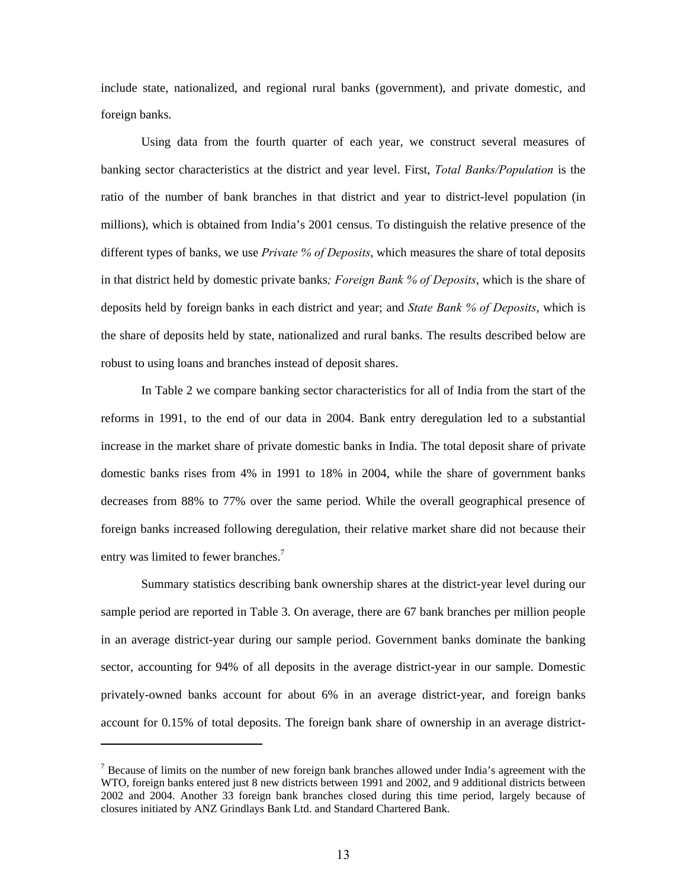include state, nationalized, and regional rural banks (government), and private domestic, and foreign banks.

Using data from the fourth quarter of each year, we construct several measures of banking sector characteristics at the district and year level. First, *Total Banks/Population* is the ratio of the number of bank branches in that district and year to district-level population (in millions), which is obtained from India's 2001 census. To distinguish the relative presence of the different types of banks, we use *Private % of Deposits*, which measures the share of total deposits in that district held by domestic private banks*; Foreign Bank % of Deposits*, which is the share of deposits held by foreign banks in each district and year; and *State Bank % of Deposits*, which is the share of deposits held by state, nationalized and rural banks. The results described below are robust to using loans and branches instead of deposit shares.

In Table 2 we compare banking sector characteristics for all of India from the start of the reforms in 1991, to the end of our data in 2004. Bank entry deregulation led to a substantial increase in the market share of private domestic banks in India. The total deposit share of private domestic banks rises from 4% in 1991 to 18% in 2004, while the share of government banks decreases from 88% to 77% over the same period. While the overall geographical presence of foreign banks increased following deregulation, their relative market share did not because their entry was limited to fewer branches.<sup>7</sup>

Summary statistics describing bank ownership shares at the district-year level during our sample period are reported in Table 3. On average, there are 67 bank branches per million people in an average district-year during our sample period. Government banks dominate the banking sector, accounting for 94% of all deposits in the average district-year in our sample. Domestic privately-owned banks account for about 6% in an average district-year, and foreign banks account for 0.15% of total deposits. The foreign bank share of ownership in an average district-

 $<sup>7</sup>$  Because of limits on the number of new foreign bank branches allowed under India's agreement with the</sup> WTO, foreign banks entered just 8 new districts between 1991 and 2002, and 9 additional districts between 2002 and 2004. Another 33 foreign bank branches closed during this time period, largely because of closures initiated by ANZ Grindlays Bank Ltd. and Standard Chartered Bank.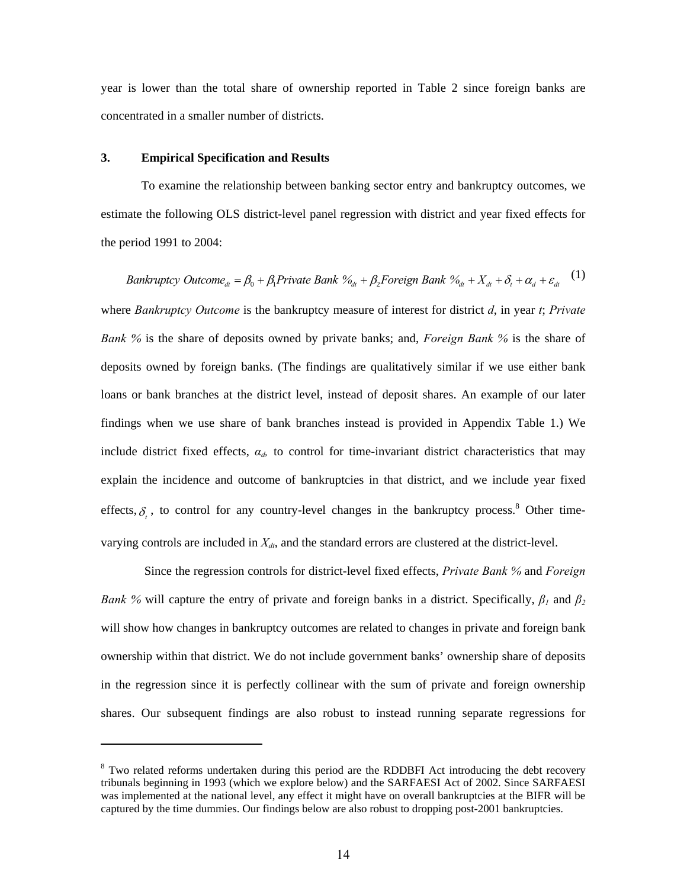year is lower than the total share of ownership reported in Table 2 since foreign banks are concentrated in a smaller number of districts.

#### **3. Empirical Specification and Results**

To examine the relationship between banking sector entry and bankruptcy outcomes, we estimate the following OLS district-level panel regression with district and year fixed effects for the period 1991 to 2004:

*Bankruptcy Outcome<sub>dt</sub>* = 
$$
\beta_0 + \beta_1
$$
Private Bank  $\%_{dt} + \beta_2$  Foreign Bank  $\%_{dt} + X_{dt} + \delta_t + \alpha_d + \varepsilon_{dt}$  (1)

where *Bankruptcy Outcome* is the bankruptcy measure of interest for district *d*, in year *t*; *Private Bank %* is the share of deposits owned by private banks; and, *Foreign Bank %* is the share of deposits owned by foreign banks. (The findings are qualitatively similar if we use either bank loans or bank branches at the district level, instead of deposit shares. An example of our later findings when we use share of bank branches instead is provided in Appendix Table 1.) We include district fixed effects,  $\alpha_d$ , to control for time-invariant district characteristics that may explain the incidence and outcome of bankruptcies in that district, and we include year fixed effects,  $\delta$ <sub>c</sub>, to control for any country-level changes in the bankruptcy process.<sup>8</sup> Other timevarying controls are included in  $X_{dt}$ , and the standard errors are clustered at the district-level.

 Since the regression controls for district-level fixed effects, *Private Bank %* and *Foreign Bank %* will capture the entry of private and foreign banks in a district. Specifically,  $\beta_1$  and  $\beta_2$ will show how changes in bankruptcy outcomes are related to changes in private and foreign bank ownership within that district. We do not include government banks' ownership share of deposits in the regression since it is perfectly collinear with the sum of private and foreign ownership shares. Our subsequent findings are also robust to instead running separate regressions for

<sup>&</sup>lt;sup>8</sup> Two related reforms undertaken during this period are the RDDBFI Act introducing the debt recovery tribunals beginning in 1993 (which we explore below) and the SARFAESI Act of 2002. Since SARFAESI was implemented at the national level, any effect it might have on overall bankruptcies at the BIFR will be captured by the time dummies. Our findings below are also robust to dropping post-2001 bankruptcies.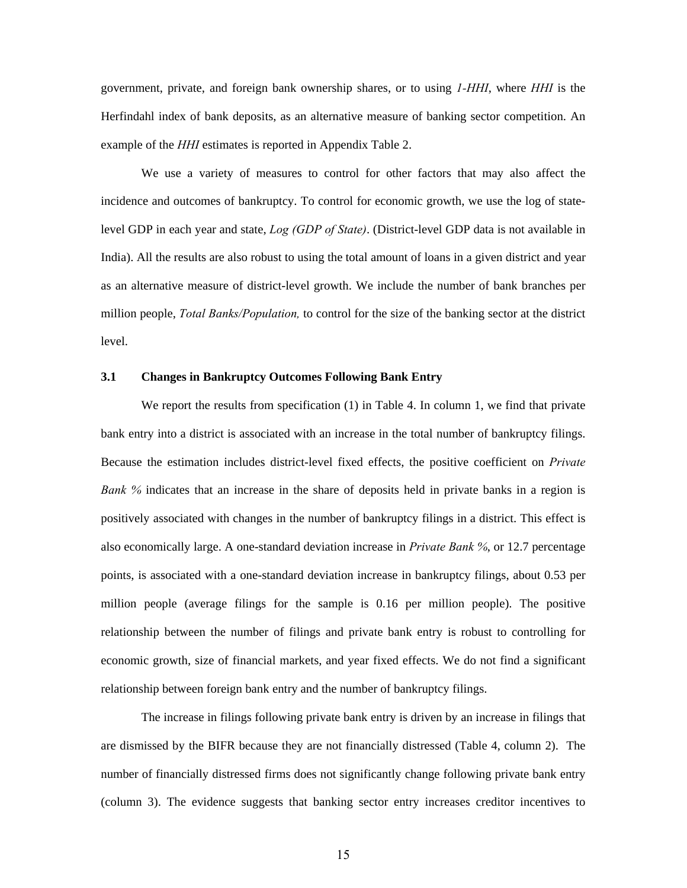government, private, and foreign bank ownership shares, or to using *1-HHI*, where *HHI* is the Herfindahl index of bank deposits, as an alternative measure of banking sector competition. An example of the *HHI* estimates is reported in Appendix Table 2.

We use a variety of measures to control for other factors that may also affect the incidence and outcomes of bankruptcy. To control for economic growth, we use the log of statelevel GDP in each year and state, *Log (GDP of State)*. (District-level GDP data is not available in India). All the results are also robust to using the total amount of loans in a given district and year as an alternative measure of district-level growth. We include the number of bank branches per million people, *Total Banks/Population,* to control for the size of the banking sector at the district level.

## **3.1 Changes in Bankruptcy Outcomes Following Bank Entry**

We report the results from specification (1) in Table 4. In column 1, we find that private bank entry into a district is associated with an increase in the total number of bankruptcy filings. Because the estimation includes district-level fixed effects, the positive coefficient on *Private Bank %* indicates that an increase in the share of deposits held in private banks in a region is positively associated with changes in the number of bankruptcy filings in a district. This effect is also economically large. A one-standard deviation increase in *Private Bank %*, or 12.7 percentage points, is associated with a one-standard deviation increase in bankruptcy filings, about 0.53 per million people (average filings for the sample is 0.16 per million people). The positive relationship between the number of filings and private bank entry is robust to controlling for economic growth, size of financial markets, and year fixed effects. We do not find a significant relationship between foreign bank entry and the number of bankruptcy filings.

 The increase in filings following private bank entry is driven by an increase in filings that are dismissed by the BIFR because they are not financially distressed (Table 4, column 2). The number of financially distressed firms does not significantly change following private bank entry (column 3). The evidence suggests that banking sector entry increases creditor incentives to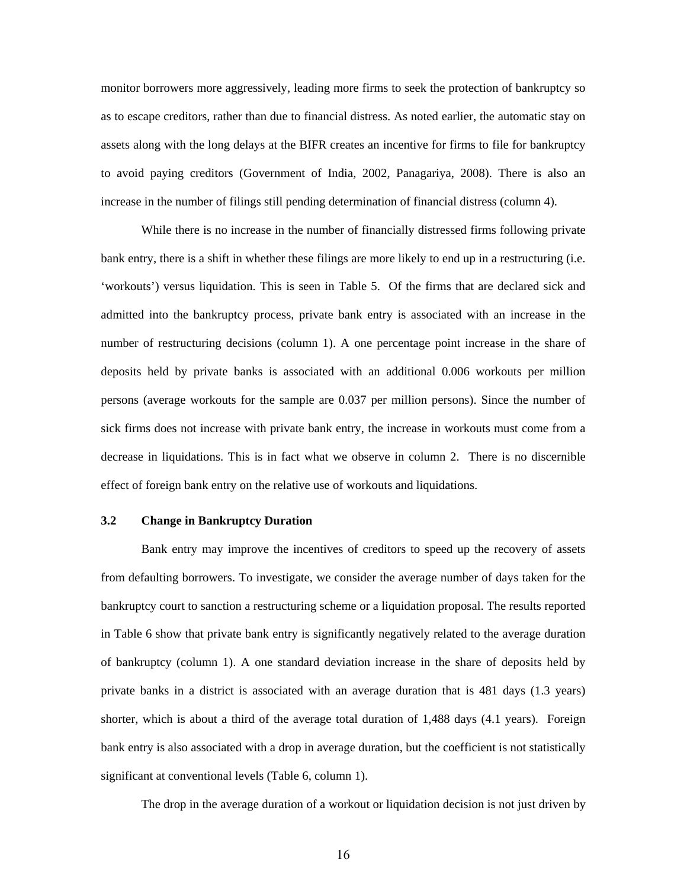monitor borrowers more aggressively, leading more firms to seek the protection of bankruptcy so as to escape creditors, rather than due to financial distress. As noted earlier, the automatic stay on assets along with the long delays at the BIFR creates an incentive for firms to file for bankruptcy to avoid paying creditors (Government of India, 2002, Panagariya, 2008). There is also an increase in the number of filings still pending determination of financial distress (column 4).

While there is no increase in the number of financially distressed firms following private bank entry, there is a shift in whether these filings are more likely to end up in a restructuring (i.e. 'workouts') versus liquidation. This is seen in Table 5. Of the firms that are declared sick and admitted into the bankruptcy process, private bank entry is associated with an increase in the number of restructuring decisions (column 1). A one percentage point increase in the share of deposits held by private banks is associated with an additional 0.006 workouts per million persons (average workouts for the sample are 0.037 per million persons). Since the number of sick firms does not increase with private bank entry, the increase in workouts must come from a decrease in liquidations. This is in fact what we observe in column 2. There is no discernible effect of foreign bank entry on the relative use of workouts and liquidations.

## **3.2 Change in Bankruptcy Duration**

Bank entry may improve the incentives of creditors to speed up the recovery of assets from defaulting borrowers. To investigate, we consider the average number of days taken for the bankruptcy court to sanction a restructuring scheme or a liquidation proposal. The results reported in Table 6 show that private bank entry is significantly negatively related to the average duration of bankruptcy (column 1). A one standard deviation increase in the share of deposits held by private banks in a district is associated with an average duration that is 481 days (1.3 years) shorter, which is about a third of the average total duration of 1,488 days (4.1 years). Foreign bank entry is also associated with a drop in average duration, but the coefficient is not statistically significant at conventional levels (Table 6, column 1).

The drop in the average duration of a workout or liquidation decision is not just driven by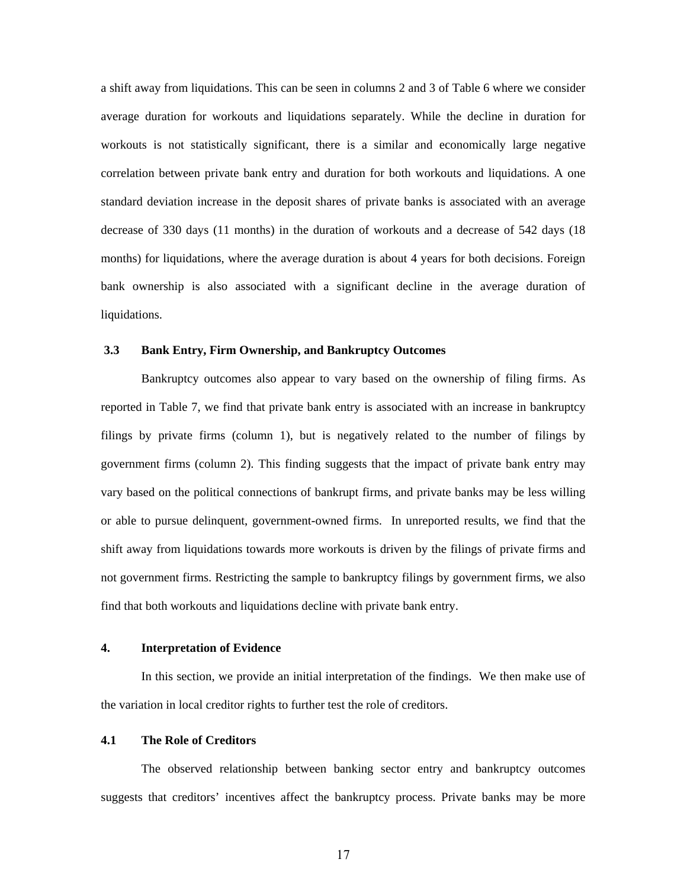a shift away from liquidations. This can be seen in columns 2 and 3 of Table 6 where we consider average duration for workouts and liquidations separately. While the decline in duration for workouts is not statistically significant, there is a similar and economically large negative correlation between private bank entry and duration for both workouts and liquidations. A one standard deviation increase in the deposit shares of private banks is associated with an average decrease of 330 days (11 months) in the duration of workouts and a decrease of 542 days (18 months) for liquidations, where the average duration is about 4 years for both decisions. Foreign bank ownership is also associated with a significant decline in the average duration of liquidations.

## **3.3 Bank Entry, Firm Ownership, and Bankruptcy Outcomes**

Bankruptcy outcomes also appear to vary based on the ownership of filing firms. As reported in Table 7, we find that private bank entry is associated with an increase in bankruptcy filings by private firms (column 1), but is negatively related to the number of filings by government firms (column 2). This finding suggests that the impact of private bank entry may vary based on the political connections of bankrupt firms, and private banks may be less willing or able to pursue delinquent, government-owned firms. In unreported results, we find that the shift away from liquidations towards more workouts is driven by the filings of private firms and not government firms. Restricting the sample to bankruptcy filings by government firms, we also find that both workouts and liquidations decline with private bank entry.

## **4. Interpretation of Evidence**

 In this section, we provide an initial interpretation of the findings. We then make use of the variation in local creditor rights to further test the role of creditors.

### **4.1 The Role of Creditors**

The observed relationship between banking sector entry and bankruptcy outcomes suggests that creditors' incentives affect the bankruptcy process. Private banks may be more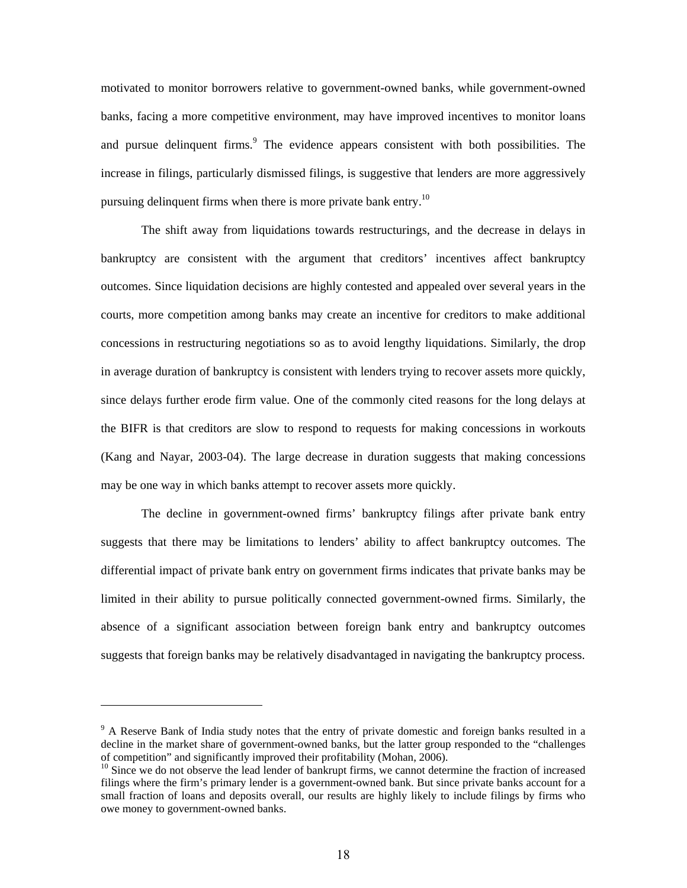motivated to monitor borrowers relative to government-owned banks, while government-owned banks, facing a more competitive environment, may have improved incentives to monitor loans and pursue delinquent firms.<sup>9</sup> The evidence appears consistent with both possibilities. The increase in filings, particularly dismissed filings, is suggestive that lenders are more aggressively pursuing delinquent firms when there is more private bank entry.<sup>10</sup>

The shift away from liquidations towards restructurings, and the decrease in delays in bankruptcy are consistent with the argument that creditors' incentives affect bankruptcy outcomes. Since liquidation decisions are highly contested and appealed over several years in the courts, more competition among banks may create an incentive for creditors to make additional concessions in restructuring negotiations so as to avoid lengthy liquidations. Similarly, the drop in average duration of bankruptcy is consistent with lenders trying to recover assets more quickly, since delays further erode firm value. One of the commonly cited reasons for the long delays at the BIFR is that creditors are slow to respond to requests for making concessions in workouts (Kang and Nayar, 2003-04). The large decrease in duration suggests that making concessions may be one way in which banks attempt to recover assets more quickly.

The decline in government-owned firms' bankruptcy filings after private bank entry suggests that there may be limitations to lenders' ability to affect bankruptcy outcomes. The differential impact of private bank entry on government firms indicates that private banks may be limited in their ability to pursue politically connected government-owned firms. Similarly, the absence of a significant association between foreign bank entry and bankruptcy outcomes suggests that foreign banks may be relatively disadvantaged in navigating the bankruptcy process.

<sup>&</sup>lt;sup>9</sup> A Reserve Bank of India study notes that the entry of private domestic and foreign banks resulted in a decline in the market share of government-owned banks, but the latter group responded to the "challenges of competition" and significantly improved their profitability (Mohan, 2006).

<sup>&</sup>lt;sup>10</sup> Since we do not observe the lead lender of bankrupt firms, we cannot determine the fraction of increased filings where the firm's primary lender is a government-owned bank. But since private banks account for a small fraction of loans and deposits overall, our results are highly likely to include filings by firms who owe money to government-owned banks.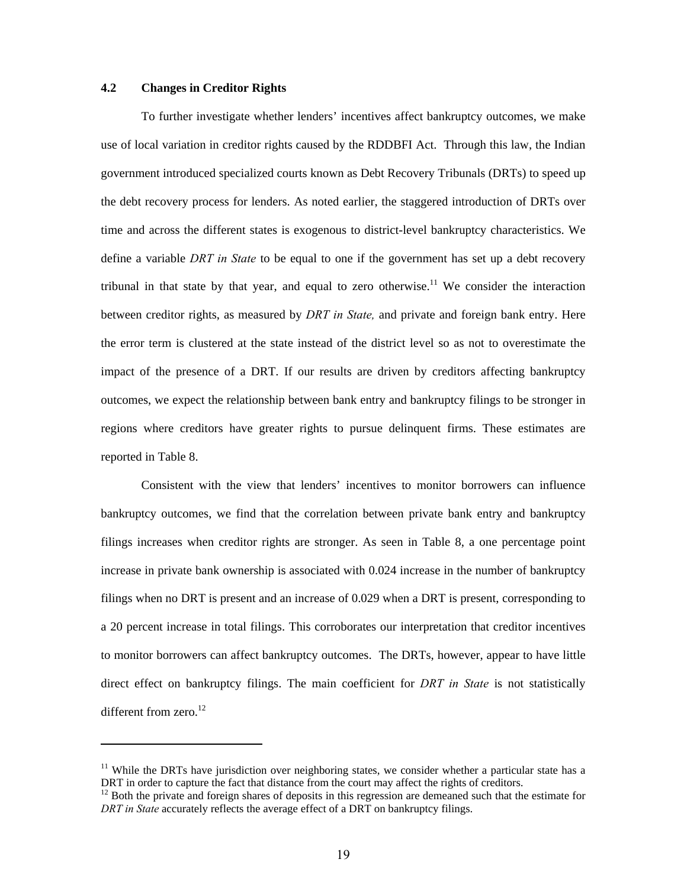### **4.2 Changes in Creditor Rights**

 To further investigate whether lenders' incentives affect bankruptcy outcomes, we make use of local variation in creditor rights caused by the RDDBFI Act. Through this law, the Indian government introduced specialized courts known as Debt Recovery Tribunals (DRTs) to speed up the debt recovery process for lenders. As noted earlier, the staggered introduction of DRTs over time and across the different states is exogenous to district-level bankruptcy characteristics. We define a variable *DRT in State* to be equal to one if the government has set up a debt recovery tribunal in that state by that year, and equal to zero otherwise.<sup>11</sup> We consider the interaction between creditor rights, as measured by *DRT in State,* and private and foreign bank entry. Here the error term is clustered at the state instead of the district level so as not to overestimate the impact of the presence of a DRT. If our results are driven by creditors affecting bankruptcy outcomes, we expect the relationship between bank entry and bankruptcy filings to be stronger in regions where creditors have greater rights to pursue delinquent firms. These estimates are reported in Table 8.

 Consistent with the view that lenders' incentives to monitor borrowers can influence bankruptcy outcomes, we find that the correlation between private bank entry and bankruptcy filings increases when creditor rights are stronger. As seen in Table 8, a one percentage point increase in private bank ownership is associated with 0.024 increase in the number of bankruptcy filings when no DRT is present and an increase of 0.029 when a DRT is present, corresponding to a 20 percent increase in total filings. This corroborates our interpretation that creditor incentives to monitor borrowers can affect bankruptcy outcomes. The DRTs, however, appear to have little direct effect on bankruptcy filings. The main coefficient for *DRT in State* is not statistically different from zero. $^{12}$ 

<sup>&</sup>lt;sup>11</sup> While the DRTs have jurisdiction over neighboring states, we consider whether a particular state has a DRT in order to capture the fact that distance from the court may affect the rights of creditors.<br><sup>12</sup> Both the private and foreign shares of deposits in this regression are demeaned such that the estimate for

*DRT in State* accurately reflects the average effect of a DRT on bankruptcy filings.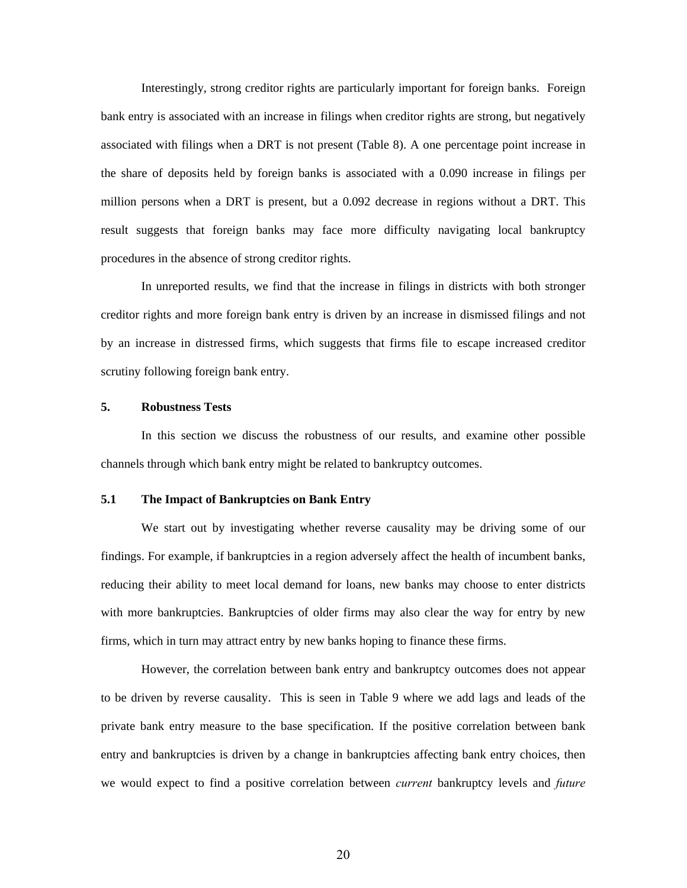Interestingly, strong creditor rights are particularly important for foreign banks. Foreign bank entry is associated with an increase in filings when creditor rights are strong, but negatively associated with filings when a DRT is not present (Table 8). A one percentage point increase in the share of deposits held by foreign banks is associated with a 0.090 increase in filings per million persons when a DRT is present, but a 0.092 decrease in regions without a DRT. This result suggests that foreign banks may face more difficulty navigating local bankruptcy procedures in the absence of strong creditor rights.

In unreported results, we find that the increase in filings in districts with both stronger creditor rights and more foreign bank entry is driven by an increase in dismissed filings and not by an increase in distressed firms, which suggests that firms file to escape increased creditor scrutiny following foreign bank entry.

### **5. Robustness Tests**

In this section we discuss the robustness of our results, and examine other possible channels through which bank entry might be related to bankruptcy outcomes.

### **5.1 The Impact of Bankruptcies on Bank Entry**

 We start out by investigating whether reverse causality may be driving some of our findings. For example, if bankruptcies in a region adversely affect the health of incumbent banks, reducing their ability to meet local demand for loans, new banks may choose to enter districts with more bankruptcies. Bankruptcies of older firms may also clear the way for entry by new firms, which in turn may attract entry by new banks hoping to finance these firms.

 However, the correlation between bank entry and bankruptcy outcomes does not appear to be driven by reverse causality. This is seen in Table 9 where we add lags and leads of the private bank entry measure to the base specification. If the positive correlation between bank entry and bankruptcies is driven by a change in bankruptcies affecting bank entry choices, then we would expect to find a positive correlation between *current* bankruptcy levels and *future*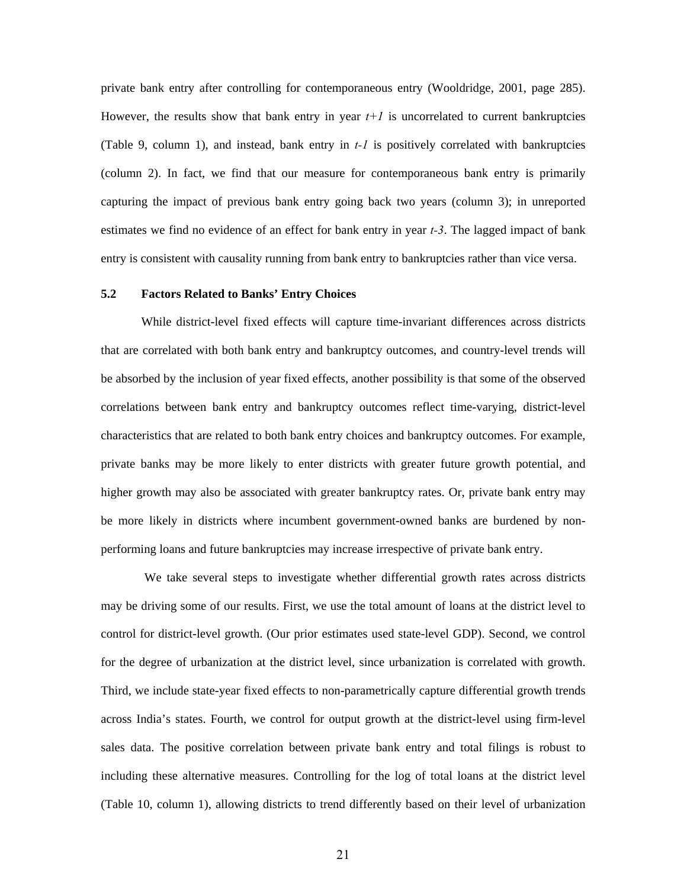private bank entry after controlling for contemporaneous entry (Wooldridge, 2001, page 285). However, the results show that bank entry in year  $t+1$  is uncorrelated to current bankruptcies (Table 9, column 1), and instead, bank entry in *t-1* is positively correlated with bankruptcies (column 2). In fact, we find that our measure for contemporaneous bank entry is primarily capturing the impact of previous bank entry going back two years (column 3); in unreported estimates we find no evidence of an effect for bank entry in year *t-3*. The lagged impact of bank entry is consistent with causality running from bank entry to bankruptcies rather than vice versa.

#### **5.2 Factors Related to Banks' Entry Choices**

 While district-level fixed effects will capture time-invariant differences across districts that are correlated with both bank entry and bankruptcy outcomes, and country-level trends will be absorbed by the inclusion of year fixed effects, another possibility is that some of the observed correlations between bank entry and bankruptcy outcomes reflect time-varying, district-level characteristics that are related to both bank entry choices and bankruptcy outcomes. For example, private banks may be more likely to enter districts with greater future growth potential, and higher growth may also be associated with greater bankruptcy rates. Or, private bank entry may be more likely in districts where incumbent government-owned banks are burdened by nonperforming loans and future bankruptcies may increase irrespective of private bank entry.

 We take several steps to investigate whether differential growth rates across districts may be driving some of our results. First, we use the total amount of loans at the district level to control for district-level growth. (Our prior estimates used state-level GDP). Second, we control for the degree of urbanization at the district level, since urbanization is correlated with growth. Third, we include state-year fixed effects to non-parametrically capture differential growth trends across India's states. Fourth, we control for output growth at the district-level using firm-level sales data. The positive correlation between private bank entry and total filings is robust to including these alternative measures. Controlling for the log of total loans at the district level (Table 10, column 1), allowing districts to trend differently based on their level of urbanization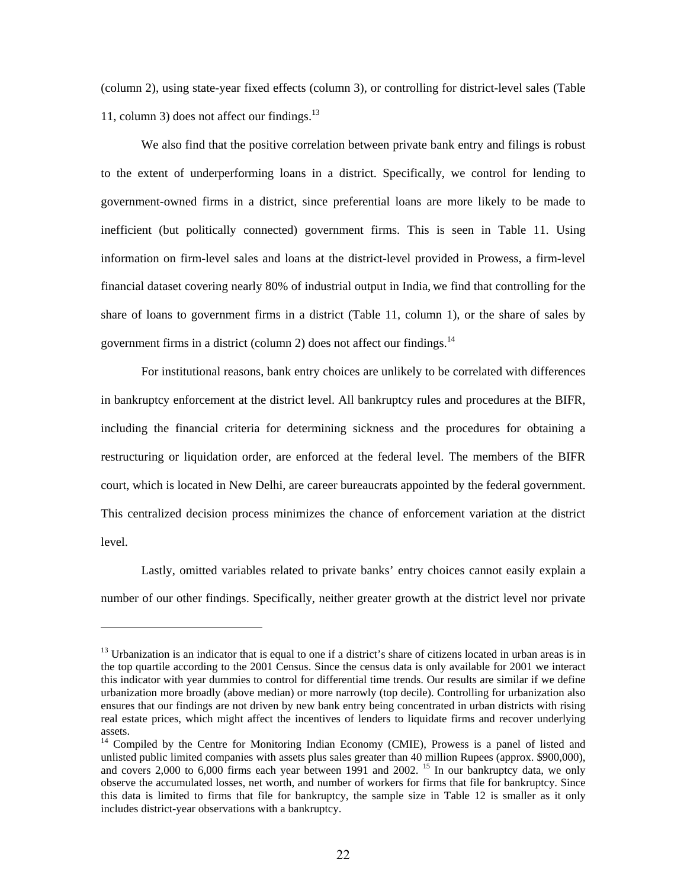(column 2), using state-year fixed effects (column 3), or controlling for district-level sales (Table 11, column 3) does not affect our findings. $13$ 

We also find that the positive correlation between private bank entry and filings is robust to the extent of underperforming loans in a district. Specifically, we control for lending to government-owned firms in a district, since preferential loans are more likely to be made to inefficient (but politically connected) government firms. This is seen in Table 11. Using information on firm-level sales and loans at the district-level provided in Prowess, a firm-level financial dataset covering nearly 80% of industrial output in India, we find that controlling for the share of loans to government firms in a district (Table 11, column 1), or the share of sales by government firms in a district (column 2) does not affect our findings. $^{14}$ 

For institutional reasons, bank entry choices are unlikely to be correlated with differences in bankruptcy enforcement at the district level. All bankruptcy rules and procedures at the BIFR, including the financial criteria for determining sickness and the procedures for obtaining a restructuring or liquidation order, are enforced at the federal level. The members of the BIFR court, which is located in New Delhi, are career bureaucrats appointed by the federal government. This centralized decision process minimizes the chance of enforcement variation at the district level.

Lastly, omitted variables related to private banks' entry choices cannot easily explain a number of our other findings. Specifically, neither greater growth at the district level nor private

 $<sup>13</sup>$  Urbanization is an indicator that is equal to one if a district's share of citizens located in urban areas is in</sup> the top quartile according to the 2001 Census. Since the census data is only available for 2001 we interact this indicator with year dummies to control for differential time trends. Our results are similar if we define urbanization more broadly (above median) or more narrowly (top decile). Controlling for urbanization also ensures that our findings are not driven by new bank entry being concentrated in urban districts with rising real estate prices, which might affect the incentives of lenders to liquidate firms and recover underlying assets.

<sup>&</sup>lt;sup>14</sup> Compiled by the Centre for Monitoring Indian Economy (CMIE), Prowess is a panel of listed and unlisted public limited companies with assets plus sales greater than 40 million Rupees (approx. \$900,000), and covers 2,000 to 6,000 firms each year between 1991 and 2002. <sup>15</sup> In our bankruptcy data, we only observe the accumulated losses, net worth, and number of workers for firms that file for bankruptcy. Since this data is limited to firms that file for bankruptcy, the sample size in Table 12 is smaller as it only includes district-year observations with a bankruptcy.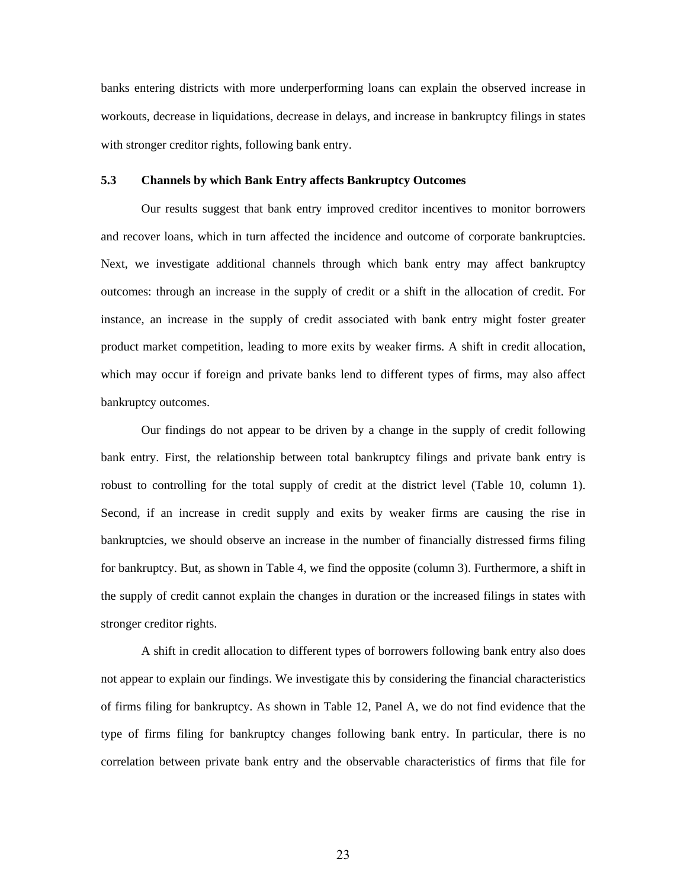banks entering districts with more underperforming loans can explain the observed increase in workouts, decrease in liquidations, decrease in delays, and increase in bankruptcy filings in states with stronger creditor rights, following bank entry.

#### **5.3 Channels by which Bank Entry affects Bankruptcy Outcomes**

 Our results suggest that bank entry improved creditor incentives to monitor borrowers and recover loans, which in turn affected the incidence and outcome of corporate bankruptcies. Next, we investigate additional channels through which bank entry may affect bankruptcy outcomes: through an increase in the supply of credit or a shift in the allocation of credit. For instance, an increase in the supply of credit associated with bank entry might foster greater product market competition, leading to more exits by weaker firms. A shift in credit allocation, which may occur if foreign and private banks lend to different types of firms, may also affect bankruptcy outcomes.

Our findings do not appear to be driven by a change in the supply of credit following bank entry. First, the relationship between total bankruptcy filings and private bank entry is robust to controlling for the total supply of credit at the district level (Table 10, column 1). Second, if an increase in credit supply and exits by weaker firms are causing the rise in bankruptcies, we should observe an increase in the number of financially distressed firms filing for bankruptcy. But, as shown in Table 4, we find the opposite (column 3). Furthermore, a shift in the supply of credit cannot explain the changes in duration or the increased filings in states with stronger creditor rights.

A shift in credit allocation to different types of borrowers following bank entry also does not appear to explain our findings. We investigate this by considering the financial characteristics of firms filing for bankruptcy. As shown in Table 12, Panel A, we do not find evidence that the type of firms filing for bankruptcy changes following bank entry. In particular, there is no correlation between private bank entry and the observable characteristics of firms that file for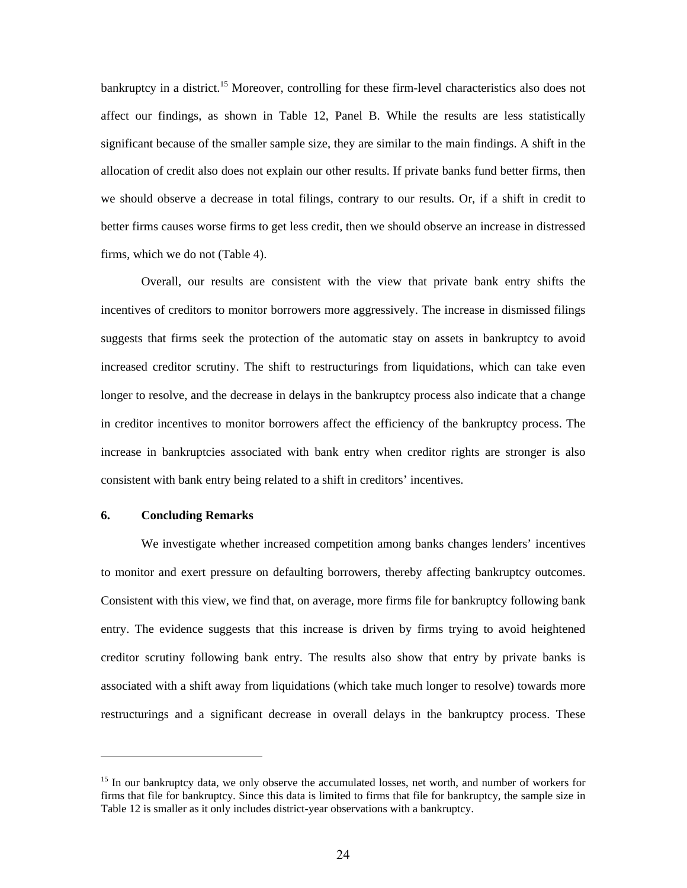bankruptcy in a district.<sup>15</sup> Moreover, controlling for these firm-level characteristics also does not affect our findings, as shown in Table 12, Panel B. While the results are less statistically significant because of the smaller sample size, they are similar to the main findings. A shift in the allocation of credit also does not explain our other results. If private banks fund better firms, then we should observe a decrease in total filings, contrary to our results. Or, if a shift in credit to better firms causes worse firms to get less credit, then we should observe an increase in distressed firms, which we do not (Table 4).

Overall, our results are consistent with the view that private bank entry shifts the incentives of creditors to monitor borrowers more aggressively. The increase in dismissed filings suggests that firms seek the protection of the automatic stay on assets in bankruptcy to avoid increased creditor scrutiny. The shift to restructurings from liquidations, which can take even longer to resolve, and the decrease in delays in the bankruptcy process also indicate that a change in creditor incentives to monitor borrowers affect the efficiency of the bankruptcy process. The increase in bankruptcies associated with bank entry when creditor rights are stronger is also consistent with bank entry being related to a shift in creditors' incentives.

#### **6. Concluding Remarks**

We investigate whether increased competition among banks changes lenders' incentives to monitor and exert pressure on defaulting borrowers, thereby affecting bankruptcy outcomes. Consistent with this view, we find that, on average, more firms file for bankruptcy following bank entry. The evidence suggests that this increase is driven by firms trying to avoid heightened creditor scrutiny following bank entry. The results also show that entry by private banks is associated with a shift away from liquidations (which take much longer to resolve) towards more restructurings and a significant decrease in overall delays in the bankruptcy process. These

<sup>&</sup>lt;sup>15</sup> In our bankruptcy data, we only observe the accumulated losses, net worth, and number of workers for firms that file for bankruptcy. Since this data is limited to firms that file for bankruptcy, the sample size in Table 12 is smaller as it only includes district-year observations with a bankruptcy.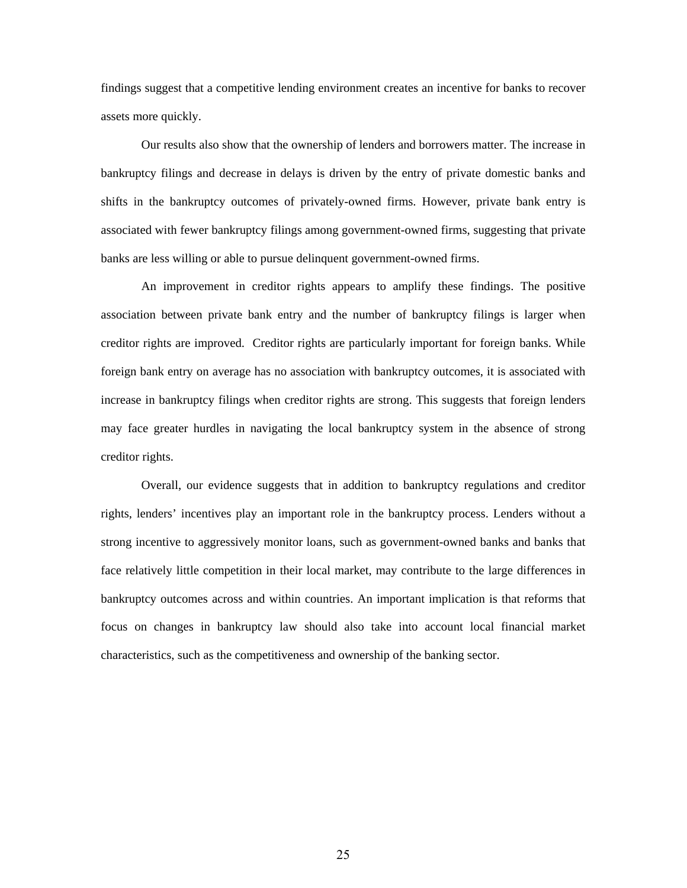findings suggest that a competitive lending environment creates an incentive for banks to recover assets more quickly.

Our results also show that the ownership of lenders and borrowers matter. The increase in bankruptcy filings and decrease in delays is driven by the entry of private domestic banks and shifts in the bankruptcy outcomes of privately-owned firms. However, private bank entry is associated with fewer bankruptcy filings among government-owned firms, suggesting that private banks are less willing or able to pursue delinquent government-owned firms.

 An improvement in creditor rights appears to amplify these findings. The positive association between private bank entry and the number of bankruptcy filings is larger when creditor rights are improved. Creditor rights are particularly important for foreign banks. While foreign bank entry on average has no association with bankruptcy outcomes, it is associated with increase in bankruptcy filings when creditor rights are strong. This suggests that foreign lenders may face greater hurdles in navigating the local bankruptcy system in the absence of strong creditor rights.

 Overall, our evidence suggests that in addition to bankruptcy regulations and creditor rights, lenders' incentives play an important role in the bankruptcy process. Lenders without a strong incentive to aggressively monitor loans, such as government-owned banks and banks that face relatively little competition in their local market, may contribute to the large differences in bankruptcy outcomes across and within countries. An important implication is that reforms that focus on changes in bankruptcy law should also take into account local financial market characteristics, such as the competitiveness and ownership of the banking sector.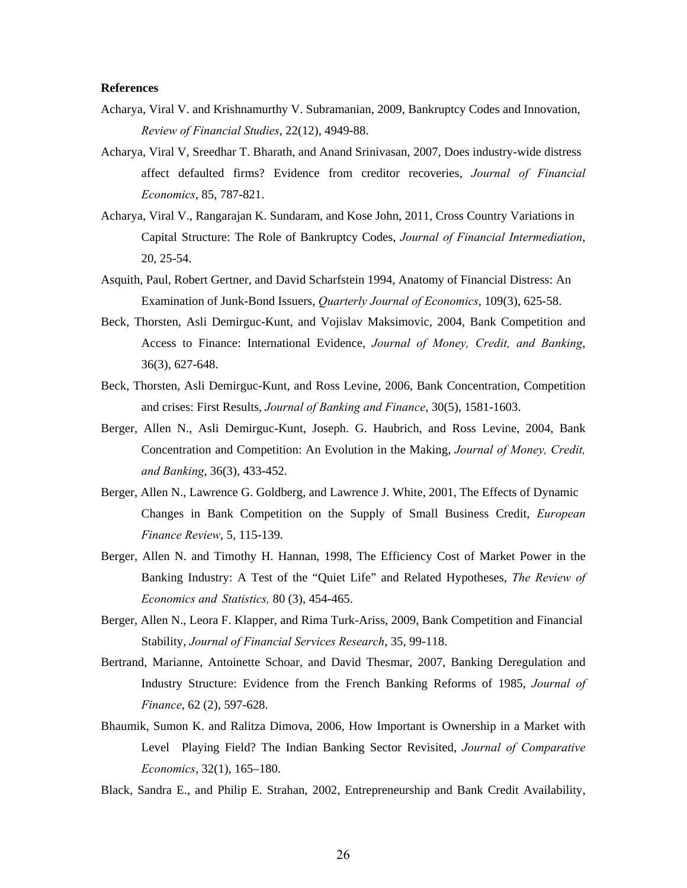#### **References**

- Acharya, Viral V. and Krishnamurthy V. Subramanian, 2009, Bankruptcy Codes and Innovation, *Review of Financial Studies*, 22(12), 4949-88.
- Acharya, Viral V, Sreedhar T. Bharath, and Anand Srinivasan, 2007, Does industry-wide distress affect defaulted firms? Evidence from creditor recoveries, *Journal of Financial Economics*, 85, 787-821.
- Acharya, Viral V., Rangarajan K. Sundaram, and Kose John, 2011, Cross Country Variations in Capital Structure: The Role of Bankruptcy Codes, *Journal of Financial Intermediation*, 20, 25-54.
- Asquith, Paul, Robert Gertner, and David Scharfstein 1994, Anatomy of Financial Distress: An Examination of Junk-Bond Issuers, *Quarterly Journal of Economics*, 109(3), 625-58.
- Beck, Thorsten, Asli Demirguc-Kunt, and Vojislav Maksimovic, 2004, Bank Competition and Access to Finance: International Evidence, *Journal of Money, Credit, and Banking*, 36(3), 627-648.
- Beck, Thorsten, Asli Demirguc-Kunt, and Ross Levine, 2006, Bank Concentration, Competition and crises: First Results, *Journal of Banking and Finance*, 30(5), 1581-1603.
- Berger, Allen N., Asli Demirguc-Kunt, Joseph. G. Haubrich, and Ross Levine, 2004, Bank Concentration and Competition: An Evolution in the Making, *Journal of Money, Credit, and Banking*, 36(3), 433-452.
- Berger, Allen N., Lawrence G. Goldberg, and Lawrence J. White, 2001, The Effects of Dynamic Changes in Bank Competition on the Supply of Small Business Credit, *European Finance Review*, 5, 115-139.
- Berger, Allen N. and Timothy H. Hannan, 1998, The Efficiency Cost of Market Power in the Banking Industry: A Test of the "Quiet Life" and Related Hypotheses, *The Review of Economics and Statistics,* 80 (3), 454-465.
- Berger, Allen N., Leora F. Klapper, and Rima Turk-Ariss, 2009, Bank Competition and Financial Stability, *Journal of Financial Services Research*, 35, 99-118.
- Bertrand, Marianne, Antoinette Schoar, and David Thesmar, 2007, Banking Deregulation and Industry Structure: Evidence from the French Banking Reforms of 1985, *Journal of Finance*, 62 (2), 597-628.
- Bhaumik, Sumon K. and Ralitza Dimova, 2006, How Important is Ownership in a Market with Level Playing Field? The Indian Banking Sector Revisited, *Journal of Comparative Economics*, 32(1), 165–180.
- Black, Sandra E., and Philip E. Strahan, 2002, Entrepreneurship and Bank Credit Availability,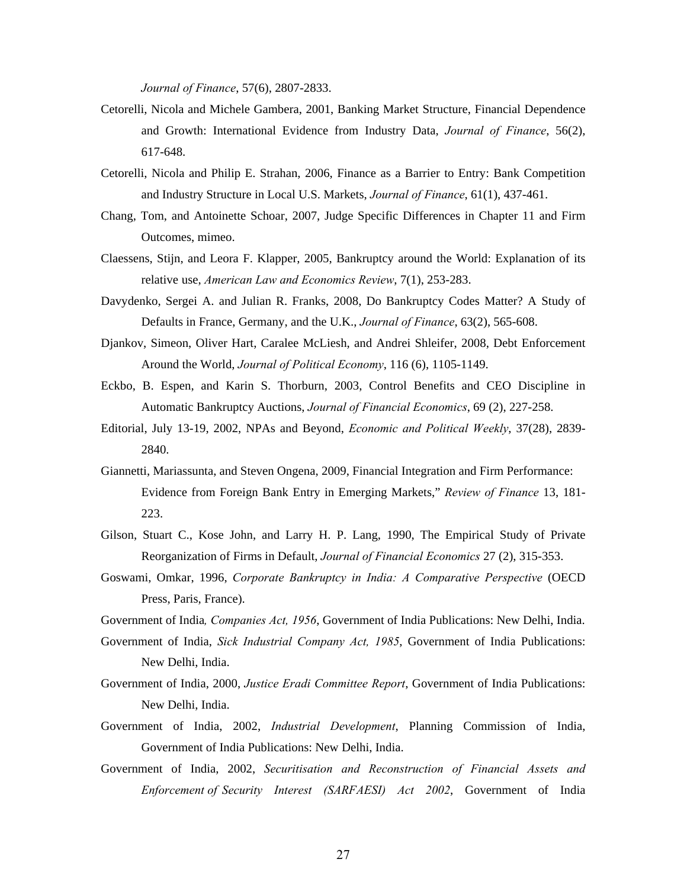*Journal of Finance*, 57(6), 2807-2833.

- Cetorelli, Nicola and Michele Gambera, 2001, Banking Market Structure, Financial Dependence and Growth: International Evidence from Industry Data, *Journal of Finance*, 56(2), 617-648.
- Cetorelli, Nicola and Philip E. Strahan, 2006, Finance as a Barrier to Entry: Bank Competition and Industry Structure in Local U.S. Markets, *Journal of Finance*, 61(1), 437-461.
- Chang, Tom, and Antoinette Schoar, 2007, Judge Specific Differences in Chapter 11 and Firm Outcomes, mimeo.
- Claessens, Stijn, and Leora F. Klapper, 2005, Bankruptcy around the World: Explanation of its relative use, *American Law and Economics Review*, 7(1), 253-283.
- Davydenko, Sergei A. and Julian R. Franks, 2008, Do Bankruptcy Codes Matter? A Study of Defaults in France, Germany, and the U.K., *Journal of Finance*, 63(2), 565-608.
- Djankov, Simeon, Oliver Hart, Caralee McLiesh, and Andrei Shleifer, 2008, Debt Enforcement Around the World, *Journal of Political Economy*, 116 (6), 1105-1149.
- Eckbo, B. Espen, and Karin S. Thorburn, 2003, Control Benefits and CEO Discipline in Automatic Bankruptcy Auctions, *Journal of Financial Economics*, 69 (2), 227-258.
- Editorial, July 13-19, 2002, NPAs and Beyond, *Economic and Political Weekly*, 37(28), 2839- 2840.
- Giannetti, Mariassunta, and Steven Ongena, 2009, Financial Integration and Firm Performance: Evidence from Foreign Bank Entry in Emerging Markets," *Review of Finance* 13, 181- 223.
- Gilson, Stuart C., Kose John, and Larry H. P. Lang, 1990, The Empirical Study of Private Reorganization of Firms in Default, *Journal of Financial Economics* 27 (2), 315-353.
- Goswami, Omkar, 1996, *Corporate Bankruptcy in India: A Comparative Perspective* (OECD Press, Paris, France).

Government of India*, Companies Act, 1956*, Government of India Publications: New Delhi, India.

- Government of India, *Sick Industrial Company Act, 1985*, Government of India Publications: New Delhi, India.
- Government of India, 2000, *Justice Eradi Committee Report*, Government of India Publications: New Delhi, India.
- Government of India, 2002, *Industrial Development*, Planning Commission of India, Government of India Publications: New Delhi, India.
- Government of India, 2002, *Securitisation and Reconstruction of Financial Assets and Enforcement of Security Interest (SARFAESI) Act 2002*, Government of India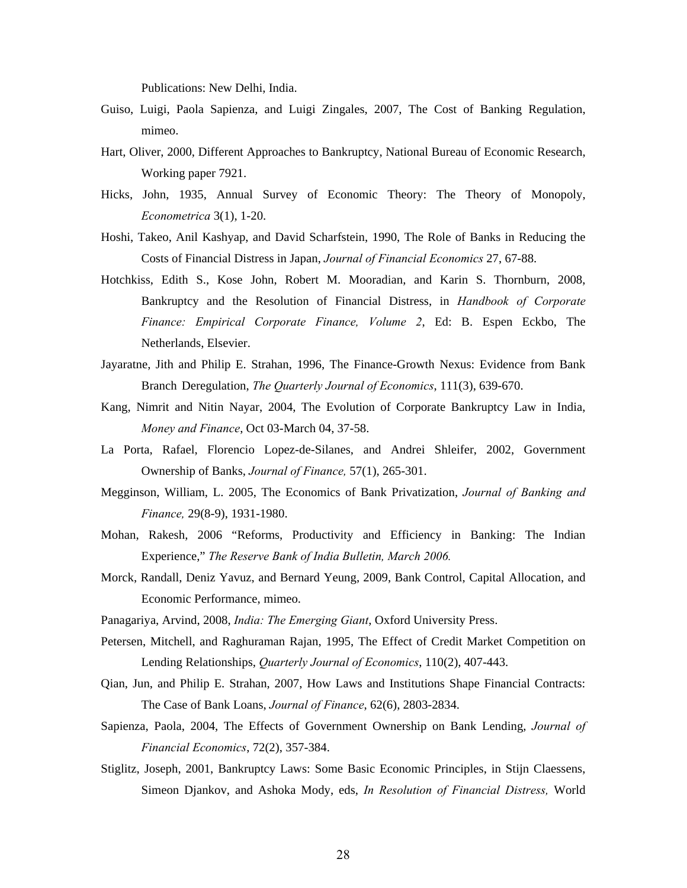Publications: New Delhi, India.

- Guiso, Luigi, Paola Sapienza, and Luigi Zingales, 2007, The Cost of Banking Regulation, mimeo.
- Hart, Oliver, 2000, Different Approaches to Bankruptcy, National Bureau of Economic Research, Working paper 7921.
- Hicks, John, 1935, Annual Survey of Economic Theory: The Theory of Monopoly, *Econometrica* 3(1), 1-20.
- Hoshi, Takeo, Anil Kashyap, and David Scharfstein, 1990, The Role of Banks in Reducing the Costs of Financial Distress in Japan, *Journal of Financial Economics* 27, 67-88.
- Hotchkiss, Edith S., Kose John, Robert M. Mooradian, and Karin S. Thornburn, 2008, Bankruptcy and the Resolution of Financial Distress, in *Handbook of Corporate Finance: Empirical Corporate Finance, Volume 2*, Ed: B. Espen Eckbo, The Netherlands, Elsevier.
- Jayaratne, Jith and Philip E. Strahan, 1996, The Finance-Growth Nexus: Evidence from Bank Branch Deregulation, *The Quarterly Journal of Economics*, 111(3), 639-670.
- Kang, Nimrit and Nitin Nayar, 2004, The Evolution of Corporate Bankruptcy Law in India, *Money and Finance*, Oct 03-March 04, 37-58.
- La Porta, Rafael, Florencio Lopez-de-Silanes, and Andrei Shleifer, 2002, Government Ownership of Banks, *Journal of Finance,* 57(1), 265-301.
- Megginson, William, L. 2005, The Economics of Bank Privatization, *Journal of Banking and Finance,* 29(8-9), 1931-1980.
- Mohan, Rakesh, 2006 "Reforms, Productivity and Efficiency in Banking: The Indian Experience," *The Reserve Bank of India Bulletin, March 2006.*
- Morck, Randall, Deniz Yavuz, and Bernard Yeung, 2009, Bank Control, Capital Allocation, and Economic Performance, mimeo.
- Panagariya, Arvind, 2008, *India: The Emerging Giant*, Oxford University Press.
- Petersen, Mitchell, and Raghuraman Rajan, 1995, The Effect of Credit Market Competition on Lending Relationships, *Quarterly Journal of Economics*, 110(2), 407-443.
- Qian, Jun, and Philip E. Strahan, 2007, How Laws and Institutions Shape Financial Contracts: The Case of Bank Loans, *Journal of Finance*, 62(6), 2803-2834.
- Sapienza, Paola, 2004, The Effects of Government Ownership on Bank Lending, *Journal of Financial Economics*, 72(2), 357-384.
- Stiglitz, Joseph, 2001, Bankruptcy Laws: Some Basic Economic Principles, in Stijn Claessens, Simeon Djankov, and Ashoka Mody, eds, *In Resolution of Financial Distress,* World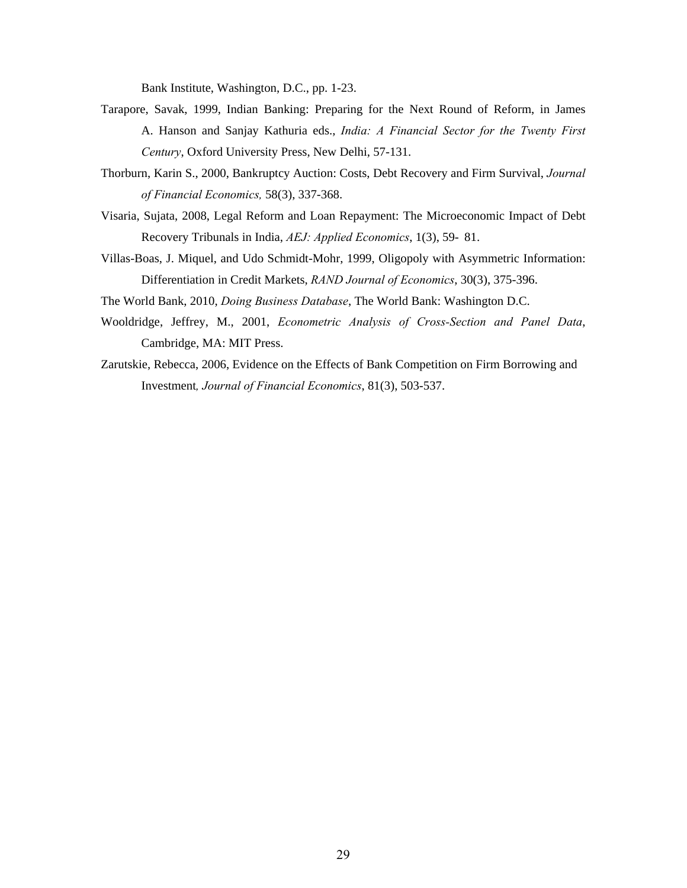Bank Institute, Washington, D.C., pp. 1-23.

- Tarapore, Savak, 1999, Indian Banking: Preparing for the Next Round of Reform, in James A. Hanson and Sanjay Kathuria eds., *India: A Financial Sector for the Twenty First Century*, Oxford University Press, New Delhi, 57-131.
- Thorburn, Karin S., 2000, Bankruptcy Auction: Costs, Debt Recovery and Firm Survival, *Journal of Financial Economics,* 58(3), 337-368.
- Visaria, Sujata, 2008, Legal Reform and Loan Repayment: The Microeconomic Impact of Debt Recovery Tribunals in India, *AEJ: Applied Economics*, 1(3), 59- 81.
- Villas-Boas, J. Miquel, and Udo Schmidt-Mohr, 1999, Oligopoly with Asymmetric Information: Differentiation in Credit Markets, *RAND Journal of Economics*, 30(3), 375-396.
- The World Bank, 2010, *Doing Business Database*, The World Bank: Washington D.C.
- Wooldridge, Jeffrey, M., 2001, *Econometric Analysis of Cross-Section and Panel Data*, Cambridge, MA: MIT Press.
- Zarutskie, Rebecca, 2006, Evidence on the Effects of Bank Competition on Firm Borrowing and Investment*, Journal of Financial Economics*, 81(3), 503-537.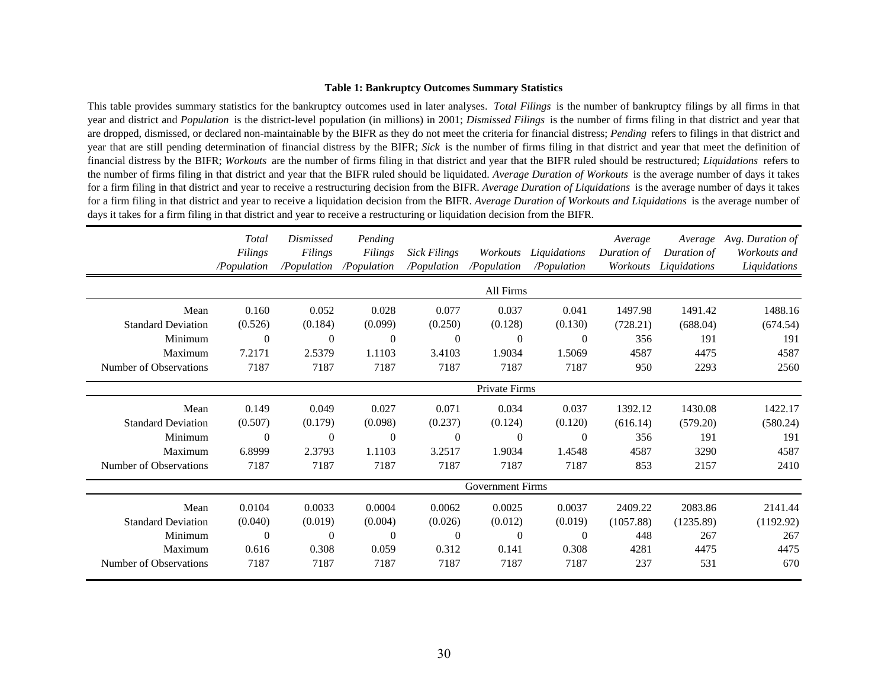#### **Table 1: Bankruptcy Outcomes Summary Statistics**

This table provides summary statistics for the bankruptcy outcomes used in later analyses. *Total Filings* is the number of bankruptcy filings by all firms in that year and district and *Population* is the district-level population (in millions) in 2001; *Dismissed Filings* is the number of firms filing in that district and year that are dropped, dismissed, or declared non-maintainable by the BIFR as they do not meet the criteria for financial distress; *Pending* refers to filings in that district and year that are still pending determination of financial distress by the BIFR; *Sick* is the number of firms filing in that district and year that meet the definition of financial distress by the BIFR; *Workouts* are the number of firms filing in that district and year that the BIFR ruled should be restructured; *Liquidations* refers to the number of firms filing in that district and year that the BIFR ruled should be liquidated. *Average Duration of Workouts* is the average number of days it takes for <sup>a</sup> firm filing in that district and year to receive <sup>a</sup> restructuring decision from the BIFR. *Average Duration of Liquidations* is the average number of days it takes for a firm filing in that district and year to receive a liquidation decision from the BIFR. Average Duration of Workouts and Liquidations is the average number of days it takes for a firm filing in that district and year to receive a restructuring or liquidation decision from the BIFR.

|                           | Total<br>Filings<br>/Population | <i>Dismissed</i><br>Filings<br>/Population | Pending<br>Filings<br>/Population | <b>Sick Filings</b><br>/Population | Workouts<br>/Population | Liquidations<br>/Population | Average<br>Duration of<br>Workouts | Average<br>Duration of<br>Liquidations | Avg. Duration of<br>Workouts and<br>Liquidations |
|---------------------------|---------------------------------|--------------------------------------------|-----------------------------------|------------------------------------|-------------------------|-----------------------------|------------------------------------|----------------------------------------|--------------------------------------------------|
|                           |                                 |                                            |                                   |                                    | All Firms               |                             |                                    |                                        |                                                  |
| Mean                      | 0.160                           | 0.052                                      | 0.028                             | 0.077                              | 0.037                   | 0.041                       | 1497.98                            | 1491.42                                | 1488.16                                          |
| <b>Standard Deviation</b> | (0.526)                         | (0.184)                                    | (0.099)                           | (0.250)                            | (0.128)                 | (0.130)                     | (728.21)                           | (688.04)                               | (674.54)                                         |
| Minimum                   | $\Omega$                        | $\theta$                                   | $\Omega$                          | $\theta$                           | $\Omega$                | $\Omega$                    | 356                                | 191                                    | 191                                              |
| Maximum                   | 7.2171                          | 2.5379                                     | 1.1103                            | 3.4103                             | 1.9034                  | 1.5069                      | 4587                               | 4475                                   | 4587                                             |
| Number of Observations    | 7187                            | 7187                                       | 7187                              | 7187                               | 7187                    | 7187                        | 950                                | 2293                                   | 2560                                             |
|                           |                                 | Private Firms                              |                                   |                                    |                         |                             |                                    |                                        |                                                  |
| Mean                      | 0.149                           | 0.049                                      | 0.027                             | 0.071                              | 0.034                   | 0.037                       | 1392.12                            | 1430.08                                | 1422.17                                          |
| <b>Standard Deviation</b> | (0.507)                         | (0.179)                                    | (0.098)                           | (0.237)                            | (0.124)                 | (0.120)                     | (616.14)                           | (579.20)                               | (580.24)                                         |
| Minimum                   | $\Omega$                        | $\Omega$                                   | $\Omega$                          | $\theta$                           | $\Omega$                | $\Omega$                    | 356                                | 191                                    | 191                                              |
| Maximum                   | 6.8999                          | 2.3793                                     | 1.1103                            | 3.2517                             | 1.9034                  | 1.4548                      | 4587                               | 3290                                   | 4587                                             |
| Number of Observations    | 7187                            | 7187                                       | 7187                              | 7187                               | 7187                    | 7187                        | 853                                | 2157                                   | 2410                                             |
|                           |                                 |                                            |                                   |                                    | <b>Government Firms</b> |                             |                                    |                                        |                                                  |
| Mean                      | 0.0104                          | 0.0033                                     | 0.0004                            | 0.0062                             | 0.0025                  | 0.0037                      | 2409.22                            | 2083.86                                | 2141.44                                          |
| <b>Standard Deviation</b> | (0.040)                         | (0.019)                                    | (0.004)                           | (0.026)                            | (0.012)                 | (0.019)                     | (1057.88)                          | (1235.89)                              | (1192.92)                                        |
| Minimum                   | $\theta$                        | $\theta$                                   | 0                                 | $\theta$                           | $\theta$                | $\overline{0}$              | 448                                | 267                                    | 267                                              |
| Maximum                   | 0.616                           | 0.308                                      | 0.059                             | 0.312                              | 0.141                   | 0.308                       | 4281                               | 4475                                   | 4475                                             |
| Number of Observations    | 7187                            | 7187                                       | 7187                              | 7187                               | 7187                    | 7187                        | 237                                | 531                                    | 670                                              |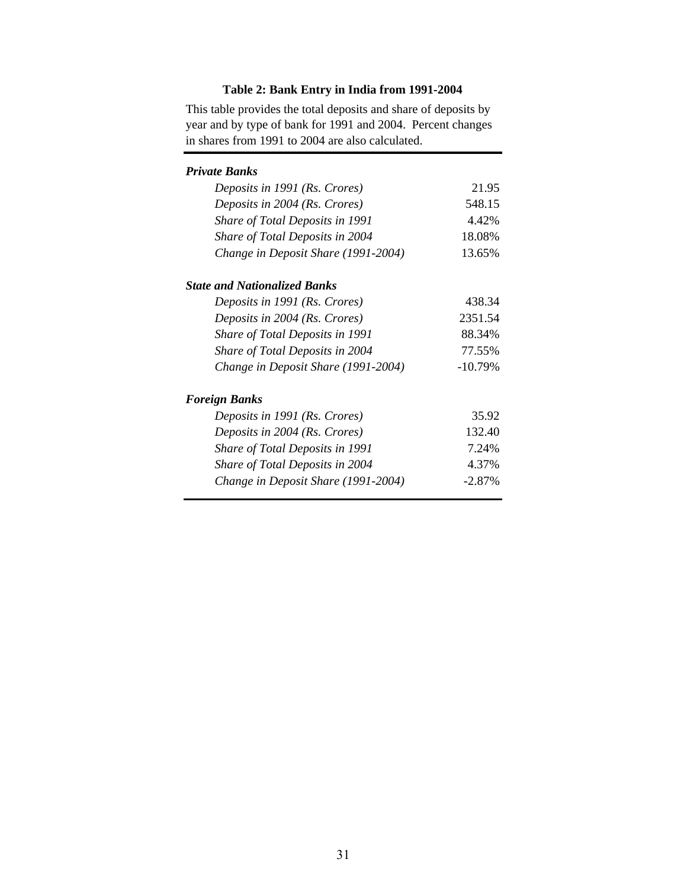# **Table 2: Bank Entry in India from 1991-2004**

This table provides the total deposits and share of deposits by year and by type of bank for 1991 and 2004. Percent changes in shares from 1991 to 2004 are also calculated.

| Private Banks                       |           |
|-------------------------------------|-----------|
| Deposits in 1991 (Rs. Crores)       | 21.95     |
| Deposits in 2004 (Rs. Crores)       | 548.15    |
| Share of Total Deposits in 1991     | 4.42%     |
| Share of Total Deposits in 2004     | 18.08%    |
| Change in Deposit Share (1991-2004) | 13.65%    |
| <b>State and Nationalized Banks</b> |           |
| Deposits in 1991 (Rs. Crores)       | 438.34    |
| Deposits in 2004 (Rs. Crores)       | 2351.54   |
| Share of Total Deposits in 1991     | 88.34%    |
| Share of Total Deposits in 2004     | 77.55%    |
| Change in Deposit Share (1991-2004) | $-10.79%$ |
| Foreign Banks                       |           |
| Deposits in 1991 (Rs. Crores)       | 35.92     |
| Deposits in 2004 (Rs. Crores)       | 132.40    |
| Share of Total Deposits in 1991     | 7.24%     |
| Share of Total Deposits in 2004     | 4.37%     |
| Change in Deposit Share (1991-2004) | $-2.87%$  |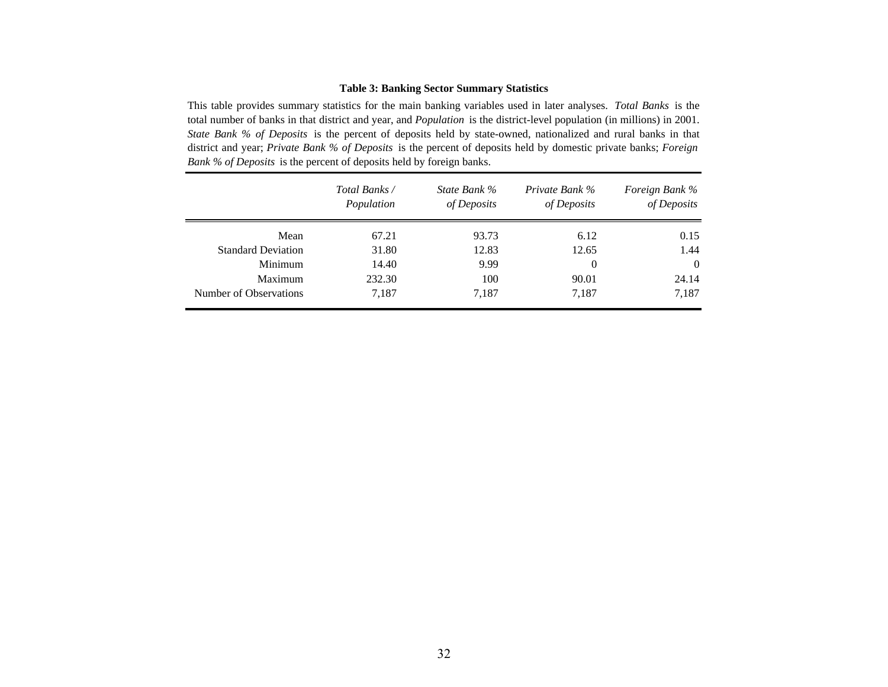### **Table 3: Banking Sector Summary Statistics**

This table provides summary statistics for the main banking variables used in later analyses. *Total Banks* is the total number of banks in that district and year, and *Population* is the district-level population (in millions) in 2001. *State Bank % of Deposits* is the percen<sup>t</sup> of deposits held by state-owned, nationalized and rural banks in that district and year; *Private Bank % of Deposits* is the percen<sup>t</sup> of deposits held by domestic private banks; *Foreign Bank % of Deposits* is the percent of deposits held by foreign banks.

|                           | Total Banks /<br>Population | State Bank %<br>of Deposits | Private Bank %<br>of Deposits | Foreign Bank %<br>of Deposits |
|---------------------------|-----------------------------|-----------------------------|-------------------------------|-------------------------------|
| Mean                      | 67.21                       | 93.73                       | 6.12                          | 0.15                          |
| <b>Standard Deviation</b> | 31.80                       | 12.83                       | 12.65                         | 1.44                          |
| Minimum                   | 14.40                       | 9.99                        | 0                             | $\theta$                      |
| Maximum                   | 232.30                      | 100                         | 90.01                         | 24.14                         |
| Number of Observations    | 7,187                       | 7,187                       | 7,187                         | 7,187                         |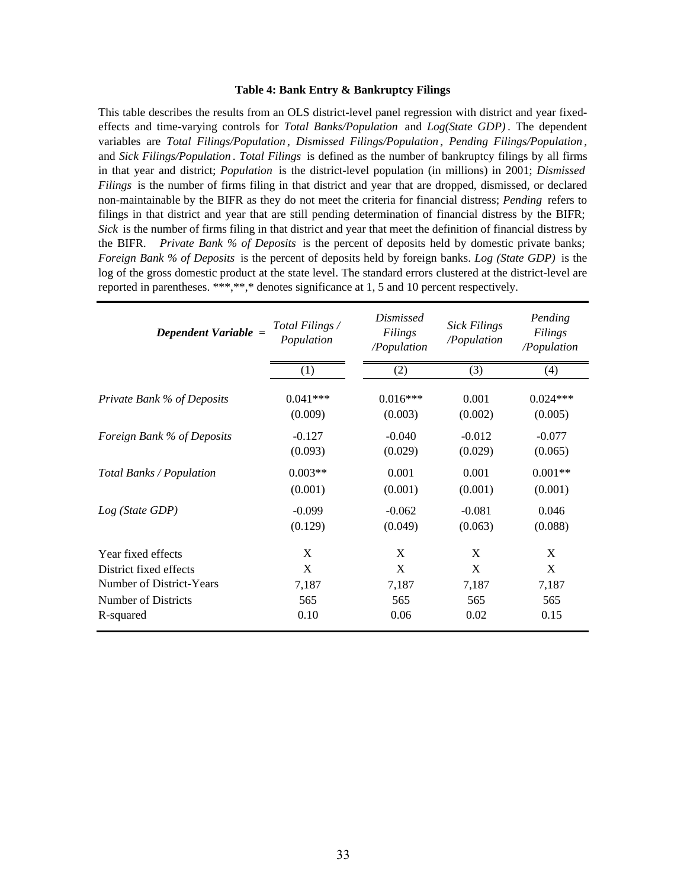#### **Table 4: Bank Entry & Bankruptcy Filings**

This table describes the results from an OLS district-level panel regression with district and year fixedeffects and time-varying controls for *Total Banks/Population* and *Log(State GDP)* . The dependent variables are *Total Filings/Population* , *Dismissed Filings/Population* , *Pending Filings/Population* , and *Sick Filings/Population* . *Total Filings* is defined as the number of bankruptcy filings by all firms in that year and district; *Population* is the district-level population (in millions) in 2001; *Dismissed Filings* is the number of firms filing in that district and year that are dropped, dismissed, or declared non-maintainable by the BIFR as they do not meet the criteria for financial distress; *Pending* refers to filings in that district and year that are still pending determination of financial distress by the BIFR; *Sick* is the number of firms filing in that district and year that meet the definition of financial distress by the BIFR. *Private Bank % of Deposits* is the percent of deposits held by domestic private banks; *Foreign Bank % of Deposits* is the percent of deposits held by foreign banks. *Log (State GDP)* is the log of the gross domestic product at the state level. The standard errors clustered at the district-level are reported in parentheses. \*\*\*,\*\*,\* denotes significance at 1, 5 and 10 percent respectively.

| Dependent Variable $=$     | Total Filings /<br>Population | <i>Dismissed</i><br>Filings<br>/Population | <b>Sick Filings</b><br>/Population | Pending<br>Filings<br>/Population |
|----------------------------|-------------------------------|--------------------------------------------|------------------------------------|-----------------------------------|
|                            | (1)                           | (2)                                        | (3)                                | (4)                               |
| Private Bank % of Deposits | $0.041***$                    | $0.016***$                                 | 0.001                              | $0.024***$                        |
|                            | (0.009)                       | (0.003)                                    | (0.002)                            | (0.005)                           |
| Foreign Bank % of Deposits | $-0.127$                      | $-0.040$                                   | $-0.012$                           | $-0.077$                          |
|                            | (0.093)                       | (0.029)                                    | (0.029)                            | (0.065)                           |
| Total Banks / Population   | $0.003**$                     | 0.001                                      | 0.001                              | $0.001**$                         |
|                            | (0.001)                       | (0.001)                                    | (0.001)                            | (0.001)                           |
| Log (State GDP)            | $-0.099$                      | $-0.062$                                   | $-0.081$                           | 0.046                             |
|                            | (0.129)                       | (0.049)                                    | (0.063)                            | (0.088)                           |
| Year fixed effects         | X                             | X                                          | X                                  | X                                 |
| District fixed effects     | X                             | X                                          | X                                  | X                                 |
| Number of District-Years   | 7,187                         | 7,187                                      | 7,187                              | 7,187                             |
| Number of Districts        | 565                           | 565                                        | 565                                | 565                               |
| R-squared                  | 0.10                          | 0.06                                       | 0.02                               | 0.15                              |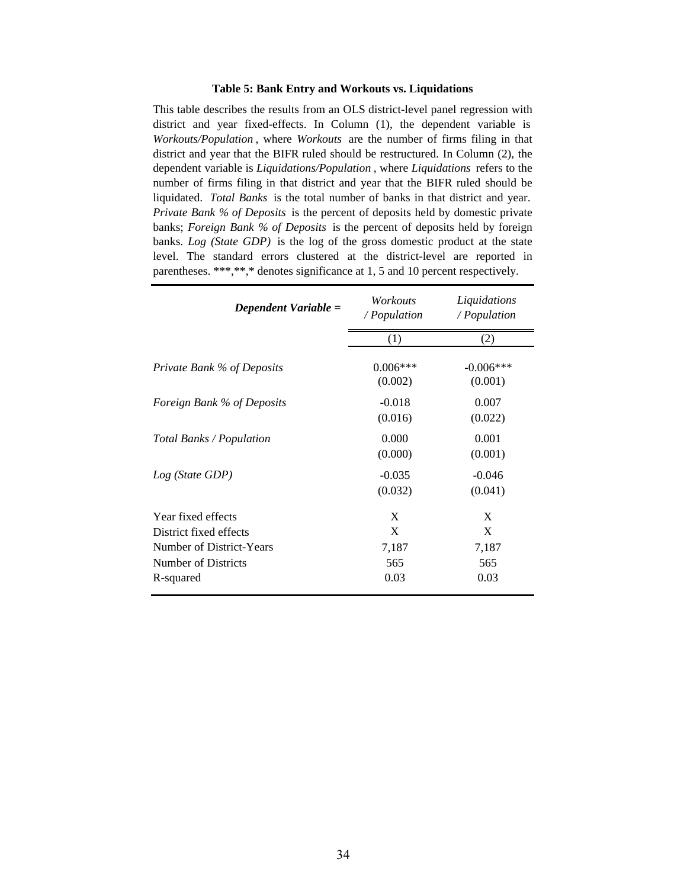#### **Table 5: Bank Entry and Workouts vs. Liquidations**

This table describes the results from an OLS district-level panel regression with district and year fixed-effects. In Column (1), the dependent variable is *Workouts/Population* , where *Workouts* are the number of firms filing in that district and year that the BIFR ruled should be restructured. In Column (2), the dependent variable is *Liquidations/Population* , where *Liquidations* refers to the number of firms filing in that district and year that the BIFR ruled should be liquidated. *Total Banks* is the total number of banks in that district and year. *Private Bank % of Deposits* is the percent of deposits held by domestic private banks; *Foreign Bank % of Deposits* is the percent of deposits held by foreign banks. *Log (State GDP)* is the log of the gross domestic product at the state level. The standard errors clustered at the district-level are reported in parentheses. \*\*\*,\*\*,\* denotes significance at 1, 5 and 10 percent respectively.

| Dependent Variable =                         | Workouts<br>/ Population | Liquidations<br>/ Population |
|----------------------------------------------|--------------------------|------------------------------|
|                                              | (1)                      | (2)                          |
| Private Bank % of Deposits                   | $0.006***$<br>(0.002)    | $-0.006***$<br>(0.001)       |
| Foreign Bank % of Deposits                   | $-0.018$<br>(0.016)      | 0.007<br>(0.022)             |
| Total Banks / Population                     | 0.000<br>(0.000)         | 0.001<br>(0.001)             |
| Log (State GDP)                              | $-0.035$<br>(0.032)      | $-0.046$<br>(0.041)          |
| Year fixed effects<br>District fixed effects | X<br>X                   | X<br>X                       |
| Number of District-Years                     | 7,187                    | 7,187                        |
| Number of Districts                          | 565                      | 565                          |
| R-squared                                    | 0.03                     | 0.03                         |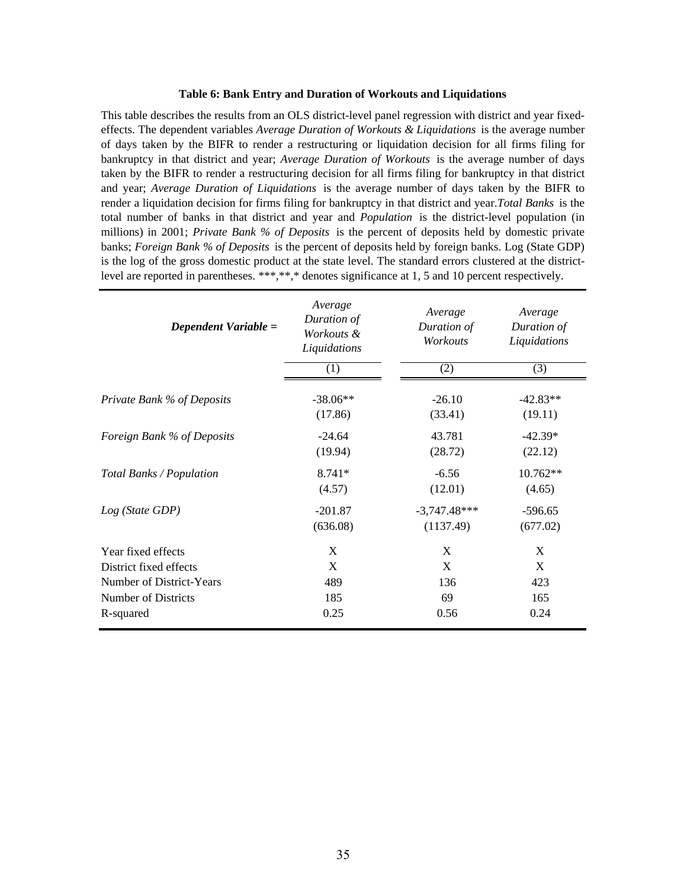#### **Table 6: Bank Entry and Duration of Workouts and Liquidations**

This table describes the results from an OLS district-level panel regression with district and year fixedeffects. The dependent variables *Average Duration of Workouts & Liquidations* is the average number of days taken by the BIFR to render a restructuring or liquidation decision for all firms filing for bankruptcy in that district and year; *Average Duration of Workouts* is the average number of days taken by the BIFR to render a restructuring decision for all firms filing for bankruptcy in that district and year; *Average Duration of Liquidations* is the average number of days taken by the BIFR to render a liquidation decision for firms filing for bankruptcy in that district and year.*Total Banks* is the total number of banks in that district and year and *Population* is the district-level population (in millions) in 2001; *Private Bank % of Deposits* is the percent of deposits held by domestic private banks; *Foreign Bank % of Deposits* is the percent of deposits held by foreign banks. Log (State GDP) is the log of the gross domestic product at the state level. The standard errors clustered at the districtlevel are reported in parentheses. \*\*\*,\*\*,\* denotes significance at 1, 5 and 10 percent respectively.

| Dependent Variable =       | Average<br>Duration of<br>Workouts &<br>Liquidations<br>(1) | Average<br>Duration of<br>Workouts<br>(2) | Average<br>Duration of<br>Liquidations<br>(3) |
|----------------------------|-------------------------------------------------------------|-------------------------------------------|-----------------------------------------------|
|                            |                                                             |                                           |                                               |
| Private Bank % of Deposits | $-38.06**$                                                  | $-26.10$                                  | $-42.83**$                                    |
|                            | (17.86)                                                     | (33.41)                                   | (19.11)                                       |
| Foreign Bank % of Deposits | $-24.64$                                                    | 43.781                                    | $-42.39*$                                     |
|                            | (19.94)                                                     | (28.72)                                   | (22.12)                                       |
| Total Banks / Population   | $8.741*$                                                    | $-6.56$                                   | $10.762**$                                    |
|                            | (4.57)                                                      | (12.01)                                   | (4.65)                                        |
| Log (State GDP)            | $-201.87$                                                   | $-3,747.48***$                            | $-596.65$                                     |
|                            | (636.08)                                                    | (1137.49)                                 | (677.02)                                      |
| Year fixed effects         | X                                                           | X                                         | X                                             |
| District fixed effects     | X                                                           | X                                         | X                                             |
| Number of District-Years   | 489                                                         | 136                                       | 423                                           |
| Number of Districts        | 185                                                         | 69                                        | 165                                           |
| R-squared                  | 0.25                                                        | 0.56                                      | 0.24                                          |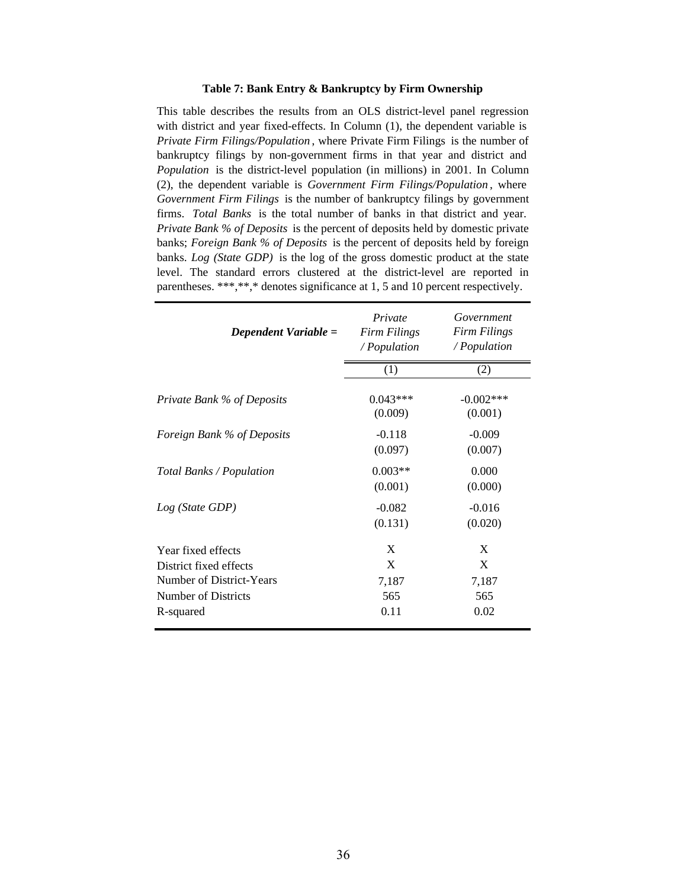#### **Table 7: Bank Entry & Bankruptcy by Firm Ownership**

This table describes the results from an OLS district-level panel regression with district and year fixed-effects. In Column (1), the dependent variable is *Private Firm Filings/Population* , where Private Firm Filings is the number of bankruptcy filings by non-government firms in that year and district and *Population* is the district-level population (in millions) in 2001. In Column (2), the dependent variable is *Government Firm Filings/Population* , where *Government Firm Filings* is the number of bankruptcy filings by government firms. *Total Banks* is the total number of banks in that district and year. *Private Bank % of Deposits* is the percent of deposits held by domestic private banks; *Foreign Bank % of Deposits* is the percent of deposits held by foreign banks. *Log (State GDP)* is the log of the gross domestic product at the state level. The standard errors clustered at the district-level are reported in parentheses. \*\*\*,\*\*,\* denotes significance at 1, 5 and 10 percent respectively.

| Dependent Variable =                                                     | Private<br><b>Firm Filings</b><br>/ Population | Government<br><b>Firm Filings</b><br>/ Population |  |
|--------------------------------------------------------------------------|------------------------------------------------|---------------------------------------------------|--|
|                                                                          | (1)                                            | (2)                                               |  |
| Private Bank % of Deposits                                               | $0.043***$<br>(0.009)                          | $-0.002$ ***<br>(0.001)                           |  |
| Foreign Bank % of Deposits                                               | $-0.118$<br>(0.097)                            | $-0.009$<br>(0.007)                               |  |
| Total Banks / Population                                                 | $0.003**$<br>(0.001)                           | 0.000<br>(0.000)                                  |  |
| Log (State GDP)                                                          | $-0.082$<br>(0.131)                            | $-0.016$<br>(0.020)                               |  |
| Year fixed effects<br>District fixed effects<br>Number of District-Years | X<br>X<br>7,187                                | X<br>X<br>7,187                                   |  |
| Number of Districts<br>R-squared                                         | 565<br>0.11                                    | 565<br>0.02                                       |  |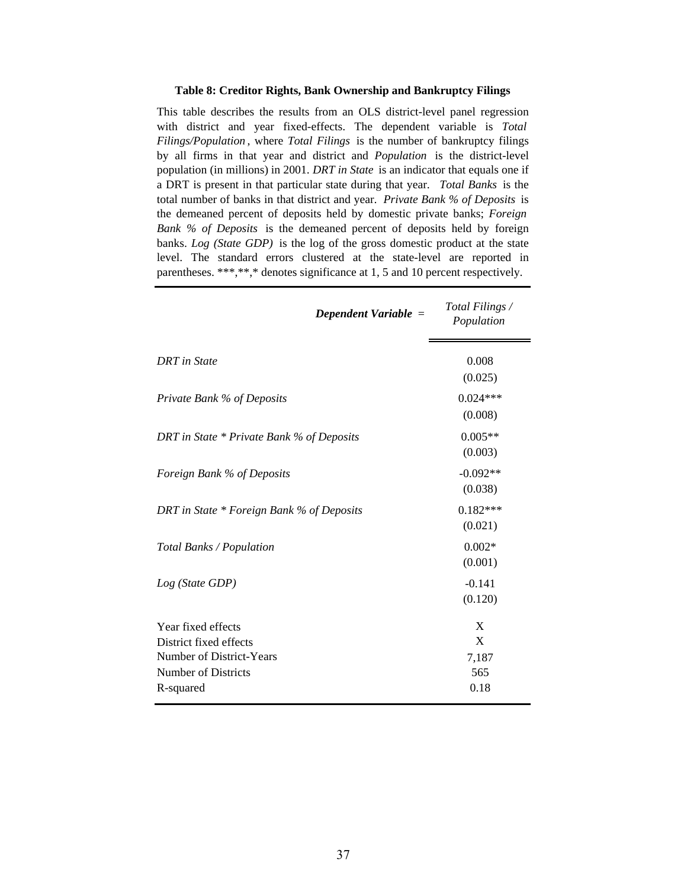### **Table 8: Creditor Rights, Bank Ownership and Bankruptcy Filings**

This table describes the results from an OLS district-level panel regression with district and year fixed-effects. The dependent variable is *Total Filings/Population* , where *Total Filings* is the number of bankruptcy filings by all firms in that year and district and *Population* is the district-level population (in millions) in 2001. *DRT in State* is an indicator that equals one if a DRT is present in that particular state during that year. *Total Banks* is the total number of banks in that district and year. *Private Bank % of Deposits* is the demeaned percent of deposits held by domestic private banks; *Foreign Bank % of Deposits* is the demeaned percent of deposits held by foreign banks. *Log (State GDP)* is the log of the gross domestic product at the state level. The standard errors clustered at the state-level are reported in parentheses. \*\*\*,\*\*,\* denotes significance at 1, 5 and 10 percent respectively.

|                                                                                                                     | Dependent Variable $=$ | Total Filings /<br>Population  |
|---------------------------------------------------------------------------------------------------------------------|------------------------|--------------------------------|
| <b>DRT</b> in State                                                                                                 |                        | 0.008<br>(0.025)               |
| Private Bank % of Deposits                                                                                          |                        | $0.024***$<br>(0.008)          |
| DRT in State * Private Bank % of Deposits                                                                           |                        | $0.005**$<br>(0.003)           |
| Foreign Bank % of Deposits                                                                                          |                        | $-0.092**$<br>(0.038)          |
| DRT in State * Foreign Bank % of Deposits                                                                           |                        | $0.182***$<br>(0.021)          |
| Total Banks / Population                                                                                            |                        | $0.002*$<br>(0.001)            |
| Log (State GDP)                                                                                                     |                        | $-0.141$<br>(0.120)            |
| Year fixed effects<br>District fixed effects<br>Number of District-Years<br><b>Number of Districts</b><br>R-squared |                        | X<br>X<br>7,187<br>565<br>0.18 |
|                                                                                                                     |                        |                                |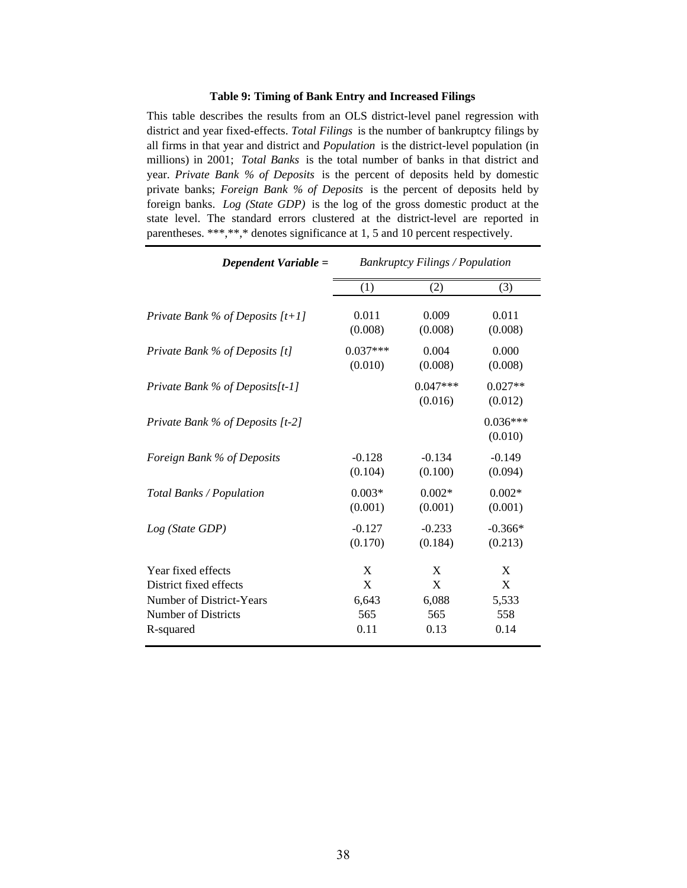### **Table 9: Timing of Bank Entry and Increased Filings**

This table describes the results from an OLS district-level panel regression with district and year fixed-effects. *Total Filings* is the number of bankruptcy filings by all firms in that year and district and *Population* is the district-level population (in millions) in 2001; *Total Banks* is the total number of banks in that district and year. *Private Bank % of Deposits* is the percent of deposits held by domestic private banks; *Foreign Bank % of Deposits* is the percent of deposits held by foreign banks. *Log (State GDP)* is the log of the gross domestic product at the state level. The standard errors clustered at the district-level are reported in parentheses. \*\*\*,\*\*,\* denotes significance at 1, 5 and 10 percent respectively.

| Dependent Variable =               | <b>Bankruptcy Filings / Population</b> |                       |                       |  |
|------------------------------------|----------------------------------------|-----------------------|-----------------------|--|
|                                    | (1)                                    | (2)                   | (3)                   |  |
| Private Bank % of Deposits $[t+1]$ | 0.011                                  | 0.009                 | 0.011                 |  |
|                                    | (0.008)                                | (0.008)               | (0.008)               |  |
| Private Bank % of Deposits [t]     | $0.037***$                             | 0.004                 | 0.000                 |  |
|                                    | (0.010)                                | (0.008)               | (0.008)               |  |
| Private Bank % of Deposits[t-1]    |                                        | $0.047***$<br>(0.016) | $0.027**$<br>(0.012)  |  |
| Private Bank % of Deposits [t-2]   |                                        |                       | $0.036***$<br>(0.010) |  |
| Foreign Bank % of Deposits         | $-0.128$                               | $-0.134$              | $-0.149$              |  |
|                                    | (0.104)                                | (0.100)               | (0.094)               |  |
| Total Banks / Population           | $0.003*$                               | $0.002*$              | $0.002*$              |  |
|                                    | (0.001)                                | (0.001)               | (0.001)               |  |
| Log (State GDP)                    | $-0.127$                               | $-0.233$              | $-0.366*$             |  |
|                                    | (0.170)                                | (0.184)               | (0.213)               |  |
| Year fixed effects                 | X                                      | X                     | X                     |  |
| District fixed effects             | $\mathbf X$                            | $\mathbf X$           | X                     |  |
| Number of District-Years           | 6,643                                  | 6,088                 | 5,533                 |  |
| <b>Number of Districts</b>         | 565                                    | 565                   | 558                   |  |
| R-squared                          | 0.11                                   | 0.13                  | 0.14                  |  |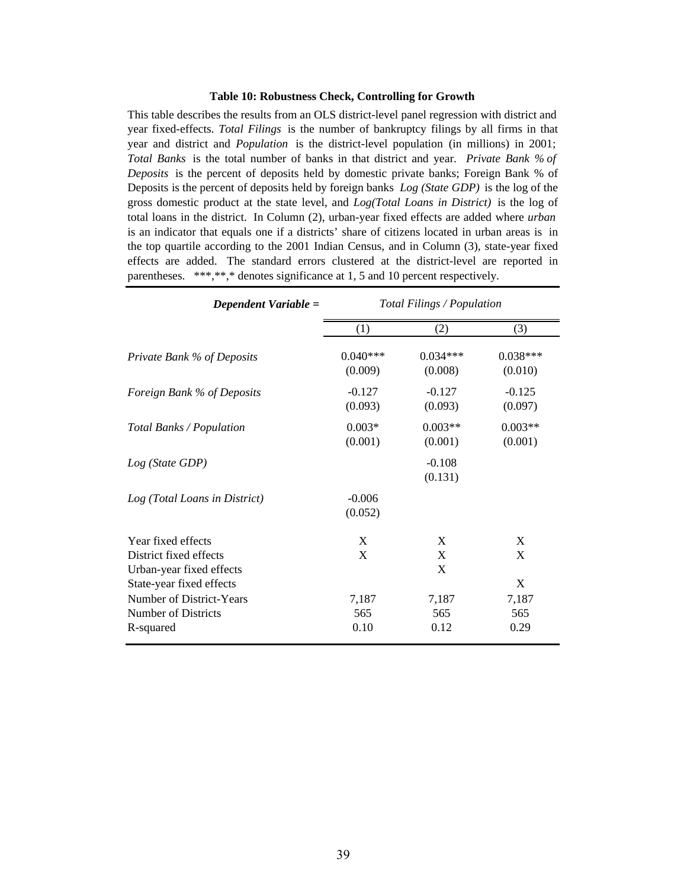#### **Table 10: Robustness Check, Controlling for Growth**

This table describes the results from an OLS district-level panel regression with district and year fixed-effects. *Total Filings* is the number of bankruptcy filings by all firms in that year and district and *Population* is the district-level population (in millions) in 2001; *Total Banks* is the total number of banks in that district and year. *Private Bank % of Deposits* is the percent of deposits held by domestic private banks; Foreign Bank % of Deposits is the percent of deposits held by foreign banks *Log (State GDP)* is the log of the gross domestic product at the state level, and *Log(Total Loans in District)* is the log of total loans in the district. In Column (2), urban-year fixed effects are added where *urban*  is an indicator that equals one if a districts' share of citizens located in urban areas is in the top quartile according to the 2001 Indian Census, and in Column (3), state-year fixed effects are added. The standard errors clustered at the district-level are reported in parentheses. \*\*\*,\*\*,\* denotes significance at 1, 5 and 10 percent respectively.

| Dependent Variable =                                                                     | Total Filings / Population |                       |                       |  |
|------------------------------------------------------------------------------------------|----------------------------|-----------------------|-----------------------|--|
|                                                                                          | (1)                        | (2)                   | (3)                   |  |
| Private Bank % of Deposits                                                               | $0.040***$<br>(0.009)      | $0.034***$<br>(0.008) | $0.038***$<br>(0.010) |  |
| Foreign Bank % of Deposits                                                               | $-0.127$<br>(0.093)        | $-0.127$<br>(0.093)   | $-0.125$<br>(0.097)   |  |
| Total Banks / Population                                                                 | $0.003*$<br>(0.001)        | $0.003**$<br>(0.001)  | $0.003**$<br>(0.001)  |  |
| Log (State GDP)                                                                          |                            | $-0.108$<br>(0.131)   |                       |  |
| Log (Total Loans in District)                                                            | $-0.006$<br>(0.052)        |                       |                       |  |
| Year fixed effects<br>District fixed effects<br>Urban-year fixed effects                 | X<br>X                     | X<br>X<br>X           | X<br>X<br>X           |  |
| State-year fixed effects<br>Number of District-Years<br>Number of Districts<br>R-squared | 7,187<br>565<br>0.10       | 7,187<br>565<br>0.12  | 7,187<br>565<br>0.29  |  |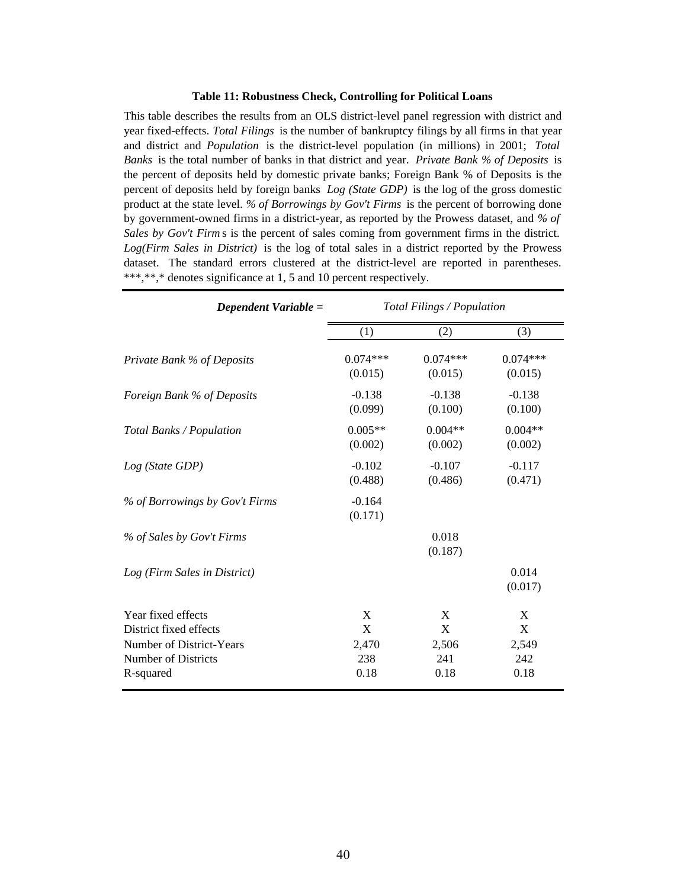#### **Table 11: Robustness Check, Controlling for Political Loans**

This table describes the results from an OLS district-level panel regression with district and year fixed-effects. *Total Filings* is the number of bankruptcy filings by all firms in that year and district and *Population* is the district-level population (in millions) in 2001; *Total Banks* is the total number of banks in that district and year. *Private Bank % of Deposits* is the percent of deposits held by domestic private banks; Foreign Bank % of Deposits is the percent of deposits held by foreign banks *Log (State GDP)* is the log of the gross domestic product at the state level. *% of Borrowings by Gov't Firms* is the percent of borrowing done by government-owned firms in a district-year, as reported by the Prowess dataset, and *% of Sales by Gov't Firm* s is the percent of sales coming from government firms in the district. *Log(Firm Sales in District)* is the log of total sales in a district reported by the Prowess dataset. The standard errors clustered at the district-level are reported in parentheses. \*\*\*,\*\*,\* denotes significance at 1, 5 and 10 percent respectively.

| Dependent Variable =                                                                                         | Total Filings / Population     |                                |                                |
|--------------------------------------------------------------------------------------------------------------|--------------------------------|--------------------------------|--------------------------------|
|                                                                                                              | (1)                            | (2)                            | (3)                            |
| Private Bank % of Deposits                                                                                   | $0.074***$<br>(0.015)          | $0.074***$<br>(0.015)          | $0.074***$<br>(0.015)          |
| Foreign Bank % of Deposits                                                                                   | $-0.138$<br>(0.099)            | $-0.138$<br>(0.100)            | $-0.138$<br>(0.100)            |
| Total Banks / Population                                                                                     | $0.005**$<br>(0.002)           | $0.004**$<br>(0.002)           | $0.004**$<br>(0.002)           |
| Log (State GDP)                                                                                              | $-0.102$<br>(0.488)            | $-0.107$<br>(0.486)            | $-0.117$<br>(0.471)            |
| % of Borrowings by Gov't Firms                                                                               | $-0.164$<br>(0.171)            |                                |                                |
| % of Sales by Gov't Firms                                                                                    |                                | 0.018<br>(0.187)               |                                |
| Log (Firm Sales in District)                                                                                 |                                |                                | 0.014<br>(0.017)               |
| Year fixed effects<br>District fixed effects<br>Number of District-Years<br>Number of Districts<br>R-squared | X<br>X<br>2,470<br>238<br>0.18 | X<br>X<br>2,506<br>241<br>0.18 | X<br>X<br>2,549<br>242<br>0.18 |
|                                                                                                              |                                |                                |                                |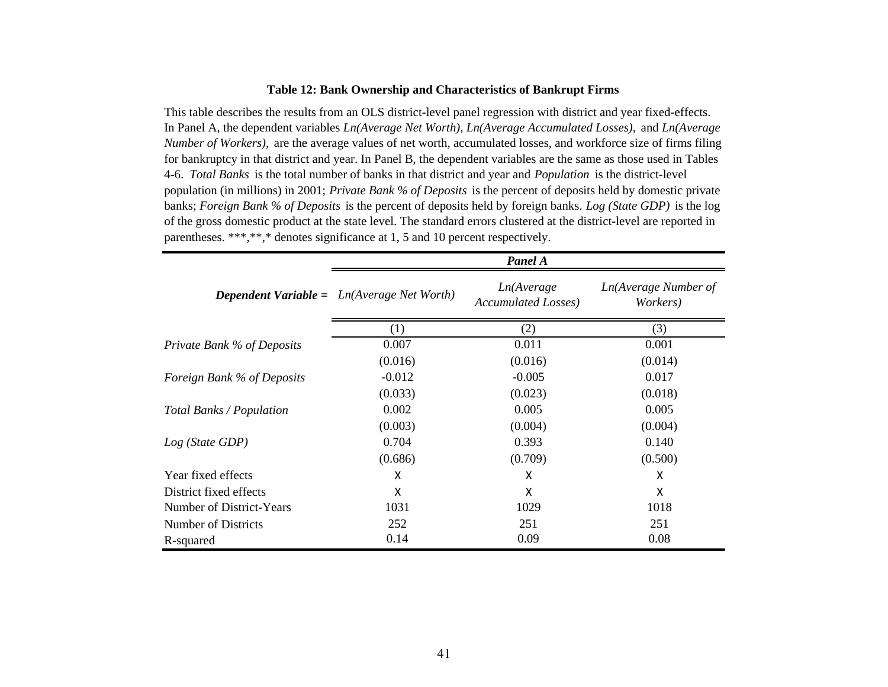### **Table 12: Bank Ownership and Characteristics of Bankrupt Firms**

This table describes the results from an OLS district-level panel regression with district and year fixed-effects. In Panel A, the dependent variables *Ln(Average Net Worth), Ln(Average Accumulated Losses),* and *Ln(Average Number of Workers),* are the average values of net worth, accumulated losses, and workforce size of firms filing for bankruptcy in that district and year. In Panel B, the dependent variables are the same as those used in Tables 4-6. *Total Banks* is the total number of banks in that district and year and *Population* is the district-level population (in millions) in 2001; *Private Bank % of Deposits* is the percent of deposits held by domestic private banks; *Foreign Bank % of Deposits* is the percent of deposits held by foreign banks. *Log (State GDP)* is the log of the gross domestic product at the state level. The standard errors clustered at the district-level are reported in parentheses. \*\*\*,\*\*,\* denotes significance at 1, 5 and 10 percent respectively.

|                            | Panel A                                             |                                           |                                  |  |  |
|----------------------------|-----------------------------------------------------|-------------------------------------------|----------------------------------|--|--|
|                            | <b>Dependent Variable</b> = $Ln(Average Net Worth)$ | Ln(Average<br><b>Accumulated Losses</b> ) | Ln(Average Number of<br>Workers) |  |  |
|                            | (1)                                                 | (2)                                       | (3)                              |  |  |
| Private Bank % of Deposits | 0.007                                               | 0.011                                     | 0.001                            |  |  |
|                            | (0.016)                                             | (0.016)                                   | (0.014)                          |  |  |
| Foreign Bank % of Deposits | $-0.012$                                            | $-0.005$                                  | 0.017                            |  |  |
|                            | (0.033)                                             | (0.023)                                   | (0.018)                          |  |  |
| Total Banks / Population   | 0.002                                               | 0.005                                     | 0.005                            |  |  |
|                            | (0.003)                                             | (0.004)                                   | (0.004)                          |  |  |
| Log (State GDP)            | 0.704                                               | 0.393                                     | 0.140                            |  |  |
|                            | (0.686)                                             | (0.709)                                   | (0.500)                          |  |  |
| Year fixed effects         | Χ                                                   | X                                         | X                                |  |  |
| District fixed effects     | X                                                   | X                                         | X                                |  |  |
| Number of District-Years   | 1031                                                | 1029                                      | 1018                             |  |  |
| Number of Districts        | 252                                                 | 251                                       | 251                              |  |  |
| R-squared                  | 0.14                                                | 0.09                                      | 0.08                             |  |  |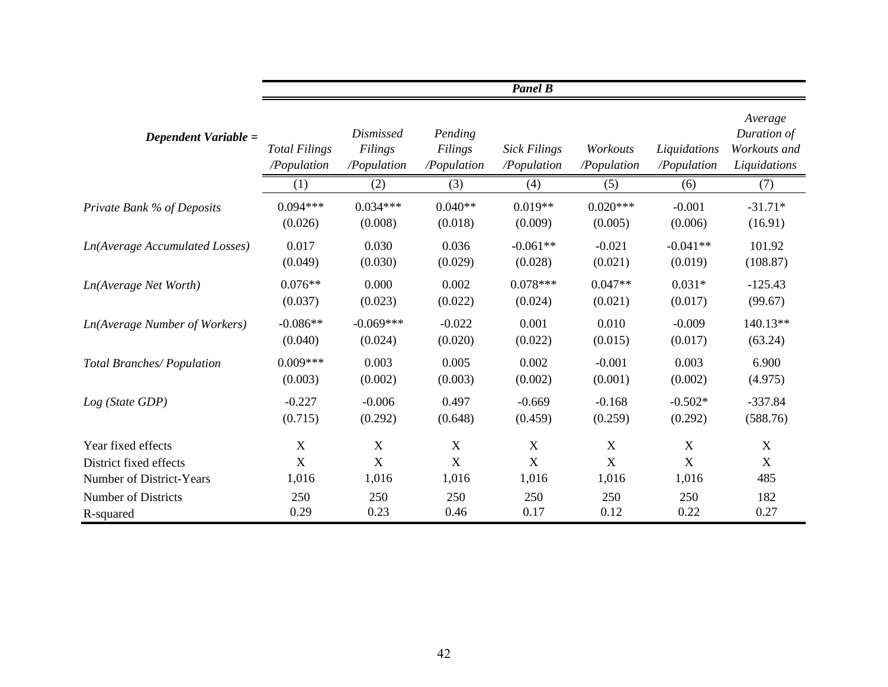|                                       | <b>Panel B</b>                      |                                            |                                   |                                    |                         |                             |                                                        |  |  |
|---------------------------------------|-------------------------------------|--------------------------------------------|-----------------------------------|------------------------------------|-------------------------|-----------------------------|--------------------------------------------------------|--|--|
| Dependent Variable =                  | <b>Total Filings</b><br>/Population | <b>Dismissed</b><br>Filings<br>/Population | Pending<br>Filings<br>/Population | <b>Sick Filings</b><br>/Population | Workouts<br>/Population | Liquidations<br>/Population | Average<br>Duration of<br>Workouts and<br>Liquidations |  |  |
|                                       | (1)                                 | (2)                                        | (3)                               | (4)                                | (5)                     | (6)                         | (7)                                                    |  |  |
| Private Bank % of Deposits            | $0.094***$                          | $0.034***$                                 | $0.040**$                         | $0.019**$                          | $0.020***$              | $-0.001$                    | $-31.71*$                                              |  |  |
|                                       | (0.026)                             | (0.008)                                    | (0.018)                           | (0.009)                            | (0.005)                 | (0.006)                     | (16.91)                                                |  |  |
| <b>Ln(Average Accumulated Losses)</b> | 0.017                               | 0.030                                      | 0.036                             | $-0.061**$                         | $-0.021$                | $-0.041**$                  | 101.92                                                 |  |  |
|                                       | (0.049)                             | (0.030)                                    | (0.029)                           | (0.028)                            | (0.021)                 | (0.019)                     | (108.87)                                               |  |  |
| Ln(Average Net Worth)                 | $0.076**$                           | 0.000                                      | 0.002                             | $0.078***$                         | $0.047**$               | $0.031*$                    | $-125.43$                                              |  |  |
|                                       | (0.037)                             | (0.023)                                    | (0.022)                           | (0.024)                            | (0.021)                 | (0.017)                     | (99.67)                                                |  |  |
| <b>Ln(Average Number of Workers)</b>  | $-0.086**$                          | $-0.069***$                                | $-0.022$                          | 0.001                              | 0.010                   | $-0.009$                    | 140.13**                                               |  |  |
|                                       | (0.040)                             | (0.024)                                    | (0.020)                           | (0.022)                            | (0.015)                 | (0.017)                     | (63.24)                                                |  |  |
| Total Branches/Population             | $0.009***$                          | 0.003                                      | 0.005                             | 0.002                              | $-0.001$                | 0.003                       | 6.900                                                  |  |  |
|                                       | (0.003)                             | (0.002)                                    | (0.003)                           | (0.002)                            | (0.001)                 | (0.002)                     | (4.975)                                                |  |  |
| Log (State GDP)                       | $-0.227$                            | $-0.006$                                   | 0.497                             | $-0.669$                           | $-0.168$                | $-0.502*$                   | $-337.84$                                              |  |  |
|                                       | (0.715)                             | (0.292)                                    | (0.648)                           | (0.459)                            | (0.259)                 | (0.292)                     | (588.76)                                               |  |  |
| Year fixed effects                    | $\boldsymbol{X}$                    | $\boldsymbol{X}$                           | X                                 | X                                  | X                       | $\mathbf X$                 | $\boldsymbol{\mathrm{X}}$                              |  |  |
| District fixed effects                | $\mathbf X$                         | $\mathbf X$                                | $\mathbf X$                       | $\mathbf X$                        | $\mathbf X$             | $\mathbf X$                 | $\boldsymbol{\mathrm{X}}$                              |  |  |
| <b>Number of District-Years</b>       | 1,016                               | 1,016                                      | 1,016                             | 1,016                              | 1,016                   | 1,016                       | 485                                                    |  |  |
| <b>Number of Districts</b>            | 250                                 | 250                                        | 250                               | 250                                | 250                     | 250                         | 182                                                    |  |  |
| R-squared                             | 0.29                                | 0.23                                       | 0.46                              | 0.17                               | 0.12                    | 0.22                        | 0.27                                                   |  |  |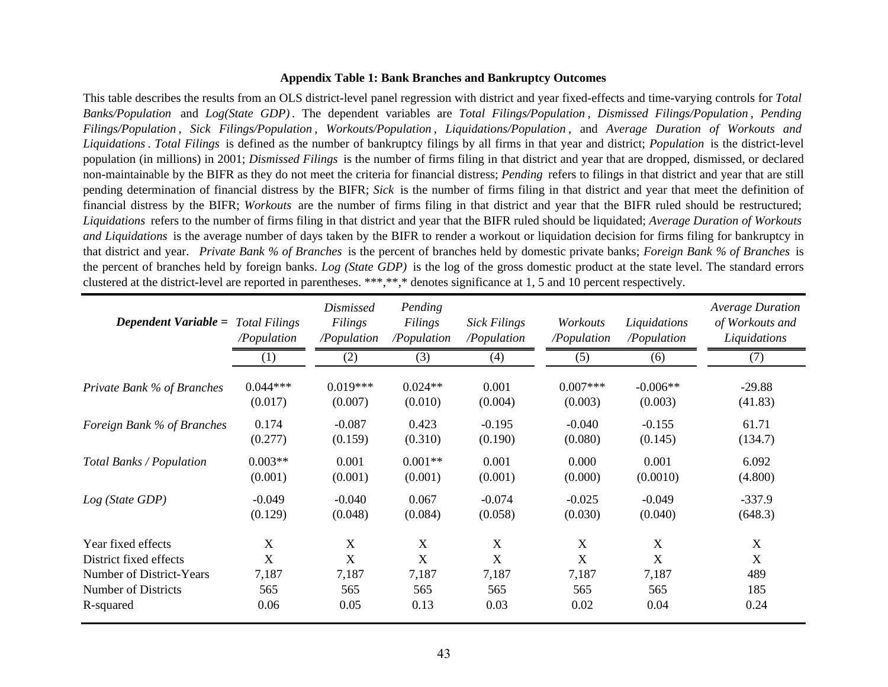### **Appendix Table 1: Bank Branches and Bankruptcy Outcomes**

This table describes the results from an OLS district-level panel regression with district and year fixed-effects and time-varying controls for *Total Banks/Population* and *Log(State GDP)* . The dependent variables are *Total Filings/Population* , *Dismissed Filings/Population* , *Pending*  Filings/Population, Sick Filings/Population, Workouts/Population, Liquidations/Population, and Average Duration of Workouts and *Liquidations*. *Total Filings* is defined as the number of bankruptcy filings by all firms in that year and district; *Population* is the district-level population (in millions) in 2001; *Dismissed Filings* is the number of firms filing in that district and year that are dropped, dismissed, or declared non-maintainable by the BIFR as they do not meet the criteria for financial distress; *Pending* refers to filings in that district and year that are still pending determination of financial distress by the BIFR; *Sick* is the number of firms filing in that district and year that meet the definition of financial distress by the BIFR; *Workouts* are the number of firms filing in that district and year that the BIFR ruled should be restructured; *Liquidations* refers to the number of firms filing in that district and year that the BIFR ruled should be liquidated; *Average Duration of Workouts and Liquidations* is the average number of days taken by the BIFR to render a workout or liquidation decision for firms filing for bankruptcy in that district and year. Private Bank % of Branches is the percent of branches held by domestic private banks; Foreign Bank % of Branches is the percen<sup>t</sup> of branches held by foreign banks. *Log (State GDP)* is the log of the gross domestic product at the state level. The standard errors clustered at the district-level are reported in parentheses. \*\*\*,\*\*,\* denotes significance at 1, 5 and 10 percent respectively.

| <b>Dependent Variable = </b> Total Filings | /Population           | <i>Dismissed</i><br>Filings<br>/Population | Pending<br>Filings<br>/Population | <b>Sick Filings</b><br>/Population | Workouts<br>/Population | Liquidations<br>/Population | <b>Average Duration</b><br>of Workouts and<br>Liquidations |
|--------------------------------------------|-----------------------|--------------------------------------------|-----------------------------------|------------------------------------|-------------------------|-----------------------------|------------------------------------------------------------|
|                                            | (1)                   | (2)                                        | (3)                               | (4)                                | (5)                     | (6)                         | (7)                                                        |
| Private Bank % of Branches                 | $0.044***$<br>(0.017) | $0.019***$<br>(0.007)                      | $0.024**$<br>(0.010)              | 0.001<br>(0.004)                   | $0.007***$<br>(0.003)   | $-0.006**$<br>(0.003)       | $-29.88$<br>(41.83)                                        |
| Foreign Bank % of Branches                 | 0.174<br>(0.277)      | $-0.087$<br>(0.159)                        | 0.423<br>(0.310)                  | $-0.195$<br>(0.190)                | $-0.040$<br>(0.080)     | $-0.155$<br>(0.145)         | 61.71<br>(134.7)                                           |
| Total Banks / Population                   | $0.003**$<br>(0.001)  | 0.001<br>(0.001)                           | $0.001**$<br>(0.001)              | 0.001<br>(0.001)                   | 0.000<br>(0.000)        | 0.001<br>(0.0010)           | 6.092<br>(4.800)                                           |
| Log (State GDP)                            | $-0.049$<br>(0.129)   | $-0.040$<br>(0.048)                        | 0.067<br>(0.084)                  | $-0.074$<br>(0.058)                | $-0.025$<br>(0.030)     | $-0.049$<br>(0.040)         | $-337.9$<br>(648.3)                                        |
| Year fixed effects                         | X                     | X                                          | X                                 | X                                  | X                       | $\boldsymbol{X}$            | X                                                          |
| District fixed effects                     | X                     | X                                          | X                                 | X                                  | X                       | X                           | $\mathbf X$                                                |
| Number of District-Years                   | 7,187                 | 7,187                                      | 7,187                             | 7,187                              | 7,187                   | 7,187                       | 489                                                        |
| <b>Number of Districts</b>                 | 565                   | 565                                        | 565                               | 565                                | 565                     | 565                         | 185                                                        |
| R-squared                                  | 0.06                  | 0.05                                       | 0.13                              | 0.03                               | 0.02                    | 0.04                        | 0.24                                                       |